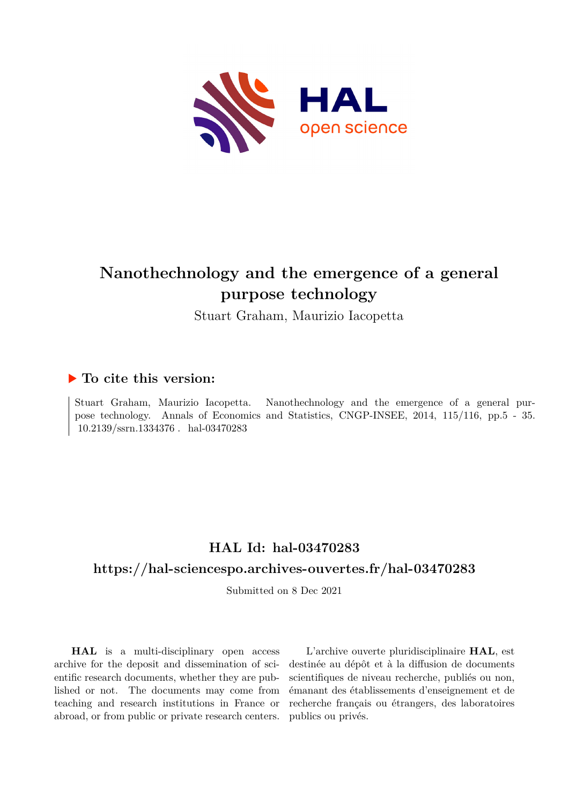

# **Nanothechnology and the emergence of a general purpose technology**

Stuart Graham, Maurizio Iacopetta

# **To cite this version:**

Stuart Graham, Maurizio Iacopetta. Nanothechnology and the emergence of a general purpose technology. Annals of Economics and Statistics, CNGP-INSEE, 2014, 115/116, pp.5 - 35.  $10.2139/\text{ssrn}.1334376$ . hal-03470283

# **HAL Id: hal-03470283**

# **<https://hal-sciencespo.archives-ouvertes.fr/hal-03470283>**

Submitted on 8 Dec 2021

**HAL** is a multi-disciplinary open access archive for the deposit and dissemination of scientific research documents, whether they are published or not. The documents may come from teaching and research institutions in France or abroad, or from public or private research centers.

L'archive ouverte pluridisciplinaire **HAL**, est destinée au dépôt et à la diffusion de documents scientifiques de niveau recherche, publiés ou non, émanant des établissements d'enseignement et de recherche français ou étrangers, des laboratoires publics ou privés.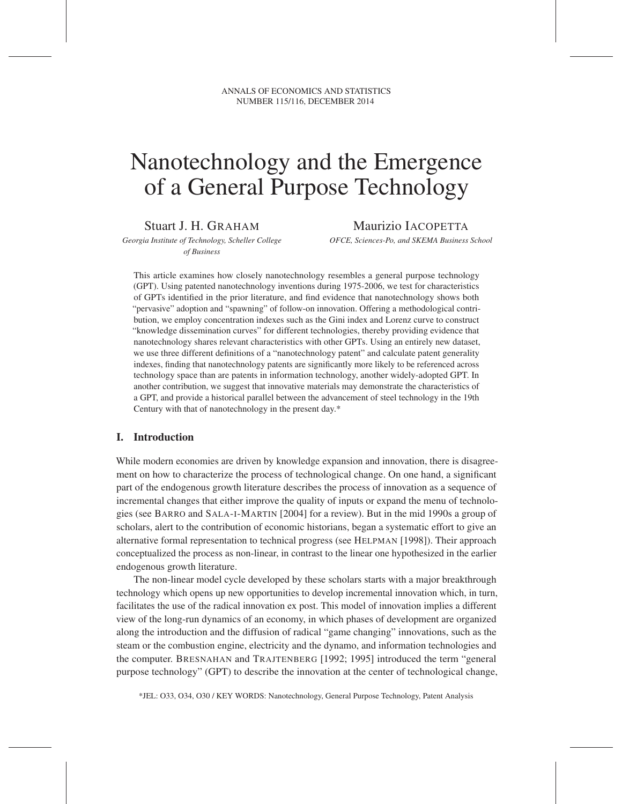ANNALS OF ECONOMICS AND STATISTICS NUMBER 115/116, DECEMBER 2014

# Nanotechnology and the Emergence of a General Purpose Technology

Stuart J. H. GRAHAM

Maurizio IACOPETTA

*Georgia Institute of Technology, Scheller College of Business*

*OFCE, Sciences-Po, and SKEMA Business School*

This article examines how closely nanotechnology resembles a general purpose technology (GPT). Using patented nanotechnology inventions during 1975-2006, we test for characteristics of GPTs identified in the prior literature, and find evidence that nanotechnology shows both "pervasive" adoption and "spawning" of follow-on innovation. Offering a methodological contribution, we employ concentration indexes such as the Gini index and Lorenz curve to construct "knowledge dissemination curves" for different technologies, thereby providing evidence that nanotechnology shares relevant characteristics with other GPTs. Using an entirely new dataset, we use three different definitions of a "nanotechnology patent" and calculate patent generality indexes, finding that nanotechnology patents are significantly more likely to be referenced across technology space than are patents in information technology, another widely-adopted GPT. In another contribution, we suggest that innovative materials may demonstrate the characteristics of a GPT, and provide a historical parallel between the advancement of steel technology in the 19th Century with that of nanotechnology in the present day.\*

# I. Introduction

While modern economies are driven by knowledge expansion and innovation, there is disagreement on how to characterize the process of technological change. On one hand, a significant part of the endogenous growth literature describes the process of innovation as a sequence of incremental changes that either improve the quality of inputs or expand the menu of technologies (see BARRO and SALA-I-MARTIN [2004] for a review). But in the mid 1990s a group of scholars, alert to the contribution of economic historians, began a systematic effort to give an alternative formal representation to technical progress (see HELPMAN [1998]). Their approach conceptualized the process as non-linear, in contrast to the linear one hypothesized in the earlier endogenous growth literature.

The non-linear model cycle developed by these scholars starts with a major breakthrough technology which opens up new opportunities to develop incremental innovation which, in turn, facilitates the use of the radical innovation ex post. This model of innovation implies a different view of the long-run dynamics of an economy, in which phases of development are organized along the introduction and the diffusion of radical "game changing" innovations, such as the steam or the combustion engine, electricity and the dynamo, and information technologies and the computer. BRESNAHAN and TRAJTENBERG [1992; 1995] introduced the term "general purpose technology" (GPT) to describe the innovation at the center of technological change,

\*JEL: O33, O34, O30 / KEY WORDS: Nanotechnology, General Purpose Technology, Patent Analysis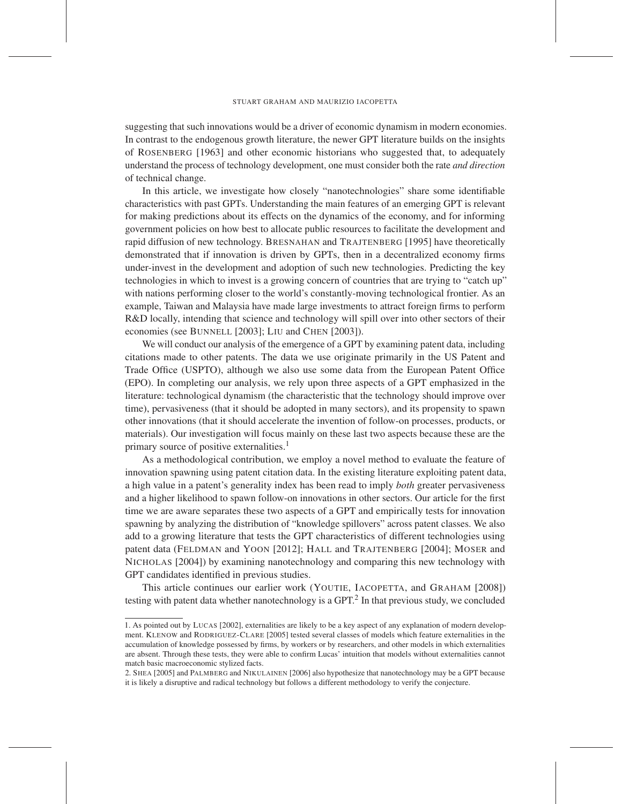suggesting that such innovations would be a driver of economic dynamism in modern economies. In contrast to the endogenous growth literature, the newer GPT literature builds on the insights of ROSENBERG [1963] and other economic historians who suggested that, to adequately understand the process of technology development, one must consider both the rate *and direction* of technical change.

In this article, we investigate how closely "nanotechnologies" share some identifiable characteristics with past GPTs. Understanding the main features of an emerging GPT is relevant for making predictions about its effects on the dynamics of the economy, and for informing government policies on how best to allocate public resources to facilitate the development and rapid diffusion of new technology. BRESNAHAN and TRAJTENBERG [1995] have theoretically demonstrated that if innovation is driven by GPTs, then in a decentralized economy firms under-invest in the development and adoption of such new technologies. Predicting the key technologies in which to invest is a growing concern of countries that are trying to "catch up" with nations performing closer to the world's constantly-moving technological frontier. As an example, Taiwan and Malaysia have made large investments to attract foreign firms to perform R&D locally, intending that science and technology will spill over into other sectors of their economies (see BUNNELL [2003]; LIU and CHEN [2003]).

We will conduct our analysis of the emergence of a GPT by examining patent data, including citations made to other patents. The data we use originate primarily in the US Patent and Trade Office (USPTO), although we also use some data from the European Patent Office (EPO). In completing our analysis, we rely upon three aspects of a GPT emphasized in the literature: technological dynamism (the characteristic that the technology should improve over time), pervasiveness (that it should be adopted in many sectors), and its propensity to spawn other innovations (that it should accelerate the invention of follow-on processes, products, or materials). Our investigation will focus mainly on these last two aspects because these are the primary source of positive externalities.<sup>1</sup>

As a methodological contribution, we employ a novel method to evaluate the feature of innovation spawning using patent citation data. In the existing literature exploiting patent data, a high value in a patent's generality index has been read to imply *both* greater pervasiveness and a higher likelihood to spawn follow-on innovations in other sectors. Our article for the first time we are aware separates these two aspects of a GPT and empirically tests for innovation spawning by analyzing the distribution of "knowledge spillovers" across patent classes. We also add to a growing literature that tests the GPT characteristics of different technologies using patent data (FELDMAN and YOON [2012]; HALL and TRAJTENBERG [2004]; MOSER and NICHOLAS [2004]) by examining nanotechnology and comparing this new technology with GPT candidates identified in previous studies.

This article continues our earlier work (YOUTIE, IACOPETTA, and GRAHAM [2008]) testing with patent data whether nanotechnology is a GPT.<sup>2</sup> In that previous study, we concluded

<sup>1.</sup> As pointed out by LUCAS [2002], externalities are likely to be a key aspect of any explanation of modern development. KLENOW and RODRIGUEZ-CLARE [2005] tested several classes of models which feature externalities in the accumulation of knowledge possessed by firms, by workers or by researchers, and other models in which externalities are absent. Through these tests, they were able to confirm Lucas' intuition that models without externalities cannot match basic macroeconomic stylized facts.

<sup>2.</sup> SHEA [2005] and PALMBERG and NIKULAINEN [2006] also hypothesize that nanotechnology may be a GPT because it is likely a disruptive and radical technology but follows a different methodology to verify the conjecture.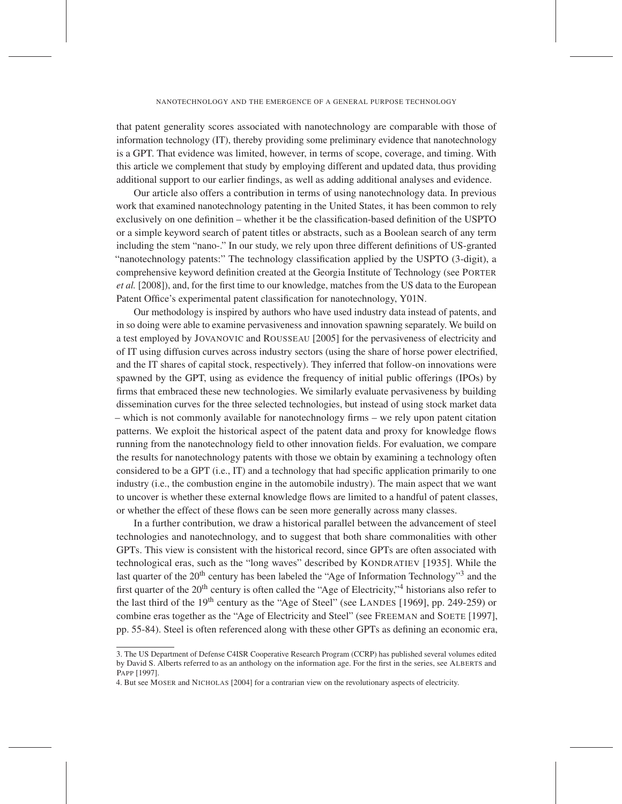that patent generality scores associated with nanotechnology are comparable with those of information technology (IT), thereby providing some preliminary evidence that nanotechnology is a GPT. That evidence was limited, however, in terms of scope, coverage, and timing. With this article we complement that study by employing different and updated data, thus providing additional support to our earlier findings, as well as adding additional analyses and evidence.

Our article also offers a contribution in terms of using nanotechnology data. In previous work that examined nanotechnology patenting in the United States, it has been common to rely exclusively on one definition – whether it be the classification-based definition of the USPTO or a simple keyword search of patent titles or abstracts, such as a Boolean search of any term including the stem "nano-." In our study, we rely upon three different definitions of US-granted "nanotechnology patents:" The technology classification applied by the USPTO (3-digit), a comprehensive keyword definition created at the Georgia Institute of Technology (see PORTER *et al.* [2008]), and, for the first time to our knowledge, matches from the US data to the European Patent Office's experimental patent classification for nanotechnology, Y01N.

Our methodology is inspired by authors who have used industry data instead of patents, and in so doing were able to examine pervasiveness and innovation spawning separately. We build on a test employed by JOVANOVIC and ROUSSEAU [2005] for the pervasiveness of electricity and of IT using diffusion curves across industry sectors (using the share of horse power electrified, and the IT shares of capital stock, respectively). They inferred that follow-on innovations were spawned by the GPT, using as evidence the frequency of initial public offerings (IPOs) by firms that embraced these new technologies. We similarly evaluate pervasiveness by building dissemination curves for the three selected technologies, but instead of using stock market data – which is not commonly available for nanotechnology firms – we rely upon patent citation patterns. We exploit the historical aspect of the patent data and proxy for knowledge flows running from the nanotechnology field to other innovation fields. For evaluation, we compare the results for nanotechnology patents with those we obtain by examining a technology often considered to be a GPT (i.e., IT) and a technology that had specific application primarily to one industry (i.e., the combustion engine in the automobile industry). The main aspect that we want to uncover is whether these external knowledge flows are limited to a handful of patent classes, or whether the effect of these flows can be seen more generally across many classes.

In a further contribution, we draw a historical parallel between the advancement of steel technologies and nanotechnology, and to suggest that both share commonalities with other GPTs. This view is consistent with the historical record, since GPTs are often associated with technological eras, such as the "long waves" described by KONDRATIEV [1935]. While the last quarter of the  $20<sup>th</sup>$  century has been labeled the "Age of Information Technology"<sup>3</sup> and the first quarter of the 20<sup>th</sup> century is often called the "Age of Electricity,"<sup>4</sup> historians also refer to the last third of the  $19<sup>th</sup>$  century as the "Age of Steel" (see LANDES [1969], pp. 249-259) or combine eras together as the "Age of Electricity and Steel" (see FREEMAN and SOETE [1997], pp. 55-84). Steel is often referenced along with these other GPTs as defining an economic era,

<sup>3.</sup> The US Department of Defense C4ISR Cooperative Research Program (CCRP) has published several volumes edited by David S. Alberts referred to as an anthology on the information age. For the first in the series, see ALBERTS and PAPP [1997].

<sup>4.</sup> But see MOSER and NICHOLAS [2004] for a contrarian view on the revolutionary aspects of electricity.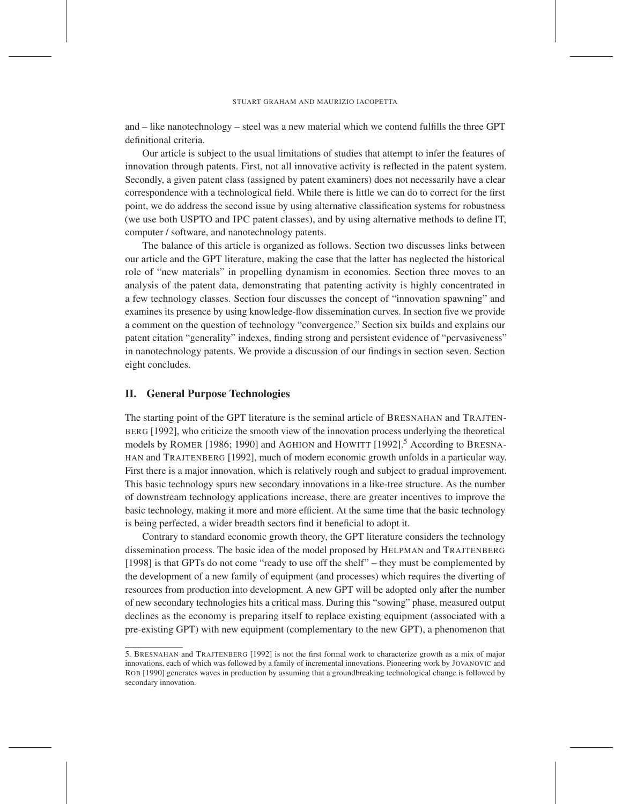and – like nanotechnology – steel was a new material which we contend fulfills the three GPT definitional criteria.

Our article is subject to the usual limitations of studies that attempt to infer the features of innovation through patents. First, not all innovative activity is reflected in the patent system. Secondly, a given patent class (assigned by patent examiners) does not necessarily have a clear correspondence with a technological field. While there is little we can do to correct for the first point, we do address the second issue by using alternative classification systems for robustness (we use both USPTO and IPC patent classes), and by using alternative methods to define IT, computer / software, and nanotechnology patents.

The balance of this article is organized as follows. Section two discusses links between our article and the GPT literature, making the case that the latter has neglected the historical role of "new materials" in propelling dynamism in economies. Section three moves to an analysis of the patent data, demonstrating that patenting activity is highly concentrated in a few technology classes. Section four discusses the concept of "innovation spawning" and examines its presence by using knowledge-flow dissemination curves. In section five we provide a comment on the question of technology "convergence." Section six builds and explains our patent citation "generality" indexes, finding strong and persistent evidence of "pervasiveness" in nanotechnology patents. We provide a discussion of our findings in section seven. Section eight concludes.

## II. General Purpose Technologies

The starting point of the GPT literature is the seminal article of BRESNAHAN and TRAJTEN-BERG [1992], who criticize the smooth view of the innovation process underlying the theoretical models by ROMER [1986; 1990] and AGHION and HOWITT [1992].<sup>5</sup> According to BRESNA-HAN and TRAJTENBERG [1992], much of modern economic growth unfolds in a particular way. First there is a major innovation, which is relatively rough and subject to gradual improvement. This basic technology spurs new secondary innovations in a like-tree structure. As the number of downstream technology applications increase, there are greater incentives to improve the basic technology, making it more and more efficient. At the same time that the basic technology is being perfected, a wider breadth sectors find it beneficial to adopt it.

Contrary to standard economic growth theory, the GPT literature considers the technology dissemination process. The basic idea of the model proposed by HELPMAN and TRAJTENBERG [1998] is that GPTs do not come "ready to use off the shelf" – they must be complemented by the development of a new family of equipment (and processes) which requires the diverting of resources from production into development. A new GPT will be adopted only after the number of new secondary technologies hits a critical mass. During this "sowing" phase, measured output declines as the economy is preparing itself to replace existing equipment (associated with a pre-existing GPT) with new equipment (complementary to the new GPT), a phenomenon that

<sup>5.</sup> BRESNAHAN and TRAJTENBERG [1992] is not the first formal work to characterize growth as a mix of major innovations, each of which was followed by a family of incremental innovations. Pioneering work by JOVANOVIC and ROB [1990] generates waves in production by assuming that a groundbreaking technological change is followed by secondary innovation.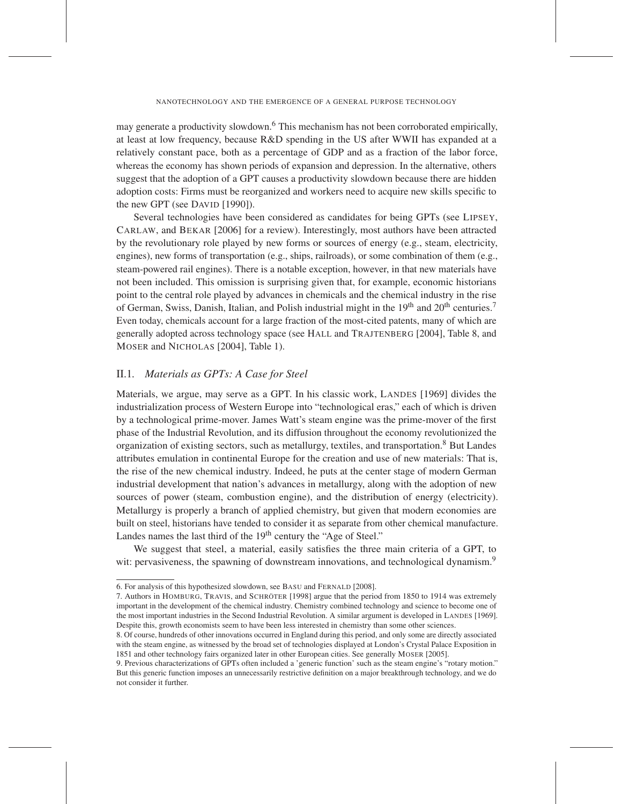may generate a productivity slowdown.<sup>6</sup> This mechanism has not been corroborated empirically, at least at low frequency, because R&D spending in the US after WWII has expanded at a relatively constant pace, both as a percentage of GDP and as a fraction of the labor force, whereas the economy has shown periods of expansion and depression. In the alternative, others suggest that the adoption of a GPT causes a productivity slowdown because there are hidden adoption costs: Firms must be reorganized and workers need to acquire new skills specific to the new GPT (see DAVID [1990]).

Several technologies have been considered as candidates for being GPTs (see LIPSEY, CARLAW, and BEKAR [2006] for a review). Interestingly, most authors have been attracted by the revolutionary role played by new forms or sources of energy (e.g., steam, electricity, engines), new forms of transportation (e.g., ships, railroads), or some combination of them (e.g., steam-powered rail engines). There is a notable exception, however, in that new materials have not been included. This omission is surprising given that, for example, economic historians point to the central role played by advances in chemicals and the chemical industry in the rise of German, Swiss, Danish, Italian, and Polish industrial might in the 19<sup>th</sup> and 20<sup>th</sup> centuries.<sup>7</sup> Even today, chemicals account for a large fraction of the most-cited patents, many of which are generally adopted across technology space (see HALL and TRAJTENBERG [2004], Table 8, and MOSER and NICHOLAS [2004], Table 1).

# II.1*. Materials as GPTs: A Case for Steel*

Materials, we argue, may serve as a GPT. In his classic work, LANDES [1969] divides the industrialization process of Western Europe into "technological eras," each of which is driven by a technological prime-mover. James Watt's steam engine was the prime-mover of the first phase of the Industrial Revolution, and its diffusion throughout the economy revolutionized the organization of existing sectors, such as metallurgy, textiles, and transportation.<sup>8</sup> But Landes attributes emulation in continental Europe for the creation and use of new materials: That is, the rise of the new chemical industry. Indeed, he puts at the center stage of modern German industrial development that nation's advances in metallurgy, along with the adoption of new sources of power (steam, combustion engine), and the distribution of energy (electricity). Metallurgy is properly a branch of applied chemistry, but given that modern economies are built on steel, historians have tended to consider it as separate from other chemical manufacture. Landes names the last third of the 19<sup>th</sup> century the "Age of Steel."

We suggest that steel, a material, easily satisfies the three main criteria of a GPT, to wit: pervasiveness, the spawning of downstream innovations, and technological dynamism.<sup>9</sup>

<sup>6.</sup> For analysis of this hypothesized slowdown, see BASU and FERNALD [2008].

<sup>7.</sup> Authors in HOMBURG, TRAVIS, and SCHRÖTER [1998] argue that the period from 1850 to 1914 was extremely important in the development of the chemical industry. Chemistry combined technology and science to become one of the most important industries in the Second Industrial Revolution. A similar argument is developed in LANDES [1969]. Despite this, growth economists seem to have been less interested in chemistry than some other sciences.

<sup>8.</sup> Of course, hundreds of other innovations occurred in England during this period, and only some are directly associated with the steam engine, as witnessed by the broad set of technologies displayed at London's Crystal Palace Exposition in 1851 and other technology fairs organized later in other European cities. See generally MOSER [2005].

<sup>9.</sup> Previous characterizations of GPTs often included a 'generic function' such as the steam engine's "rotary motion." But this generic function imposes an unnecessarily restrictive definition on a major breakthrough technology, and we do not consider it further.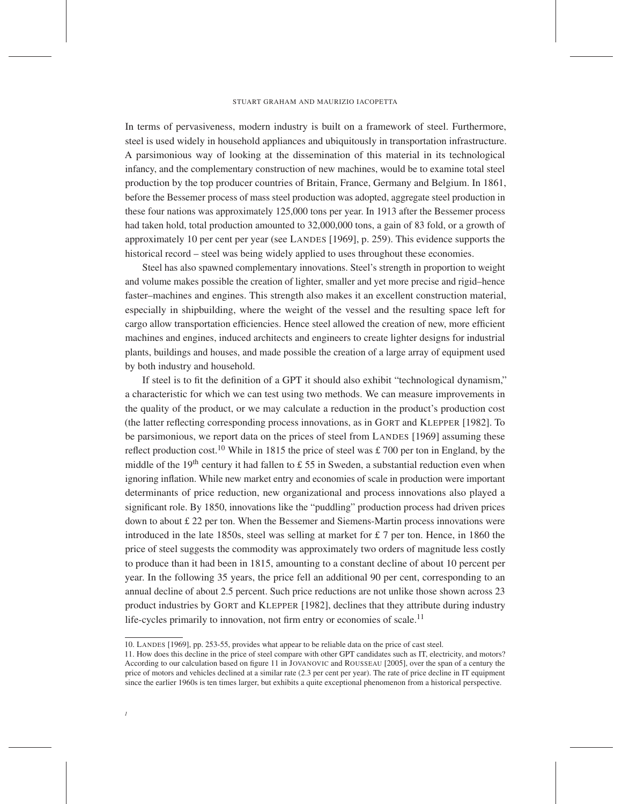In terms of pervasiveness, modern industry is built on a framework of steel. Furthermore, steel is used widely in household appliances and ubiquitously in transportation infrastructure. A parsimonious way of looking at the dissemination of this material in its technological infancy, and the complementary construction of new machines, would be to examine total steel production by the top producer countries of Britain, France, Germany and Belgium. In 1861, before the Bessemer process of mass steel production was adopted, aggregate steel production in these four nations was approximately 125,000 tons per year. In 1913 after the Bessemer process had taken hold, total production amounted to 32,000,000 tons, a gain of 83 fold, or a growth of approximately 10 per cent per year (see LANDES [1969], p. 259). This evidence supports the historical record – steel was being widely applied to uses throughout these economies.

Steel has also spawned complementary innovations. Steel's strength in proportion to weight and volume makes possible the creation of lighter, smaller and yet more precise and rigid–hence faster–machines and engines. This strength also makes it an excellent construction material, especially in shipbuilding, where the weight of the vessel and the resulting space left for cargo allow transportation efficiencies. Hence steel allowed the creation of new, more efficient machines and engines, induced architects and engineers to create lighter designs for industrial plants, buildings and houses, and made possible the creation of a large array of equipment used by both industry and household.

If steel is to fit the definition of a GPT it should also exhibit "technological dynamism," a characteristic for which we can test using two methods. We can measure improvements in the quality of the product, or we may calculate a reduction in the product's production cost (the latter reflecting corresponding process innovations, as in GORT and KLEPPER [1982]. To be parsimonious, we report data on the prices of steel from LANDES [1969] assuming these reflect production cost.<sup>10</sup> While in 1815 the price of steel was £ 700 per ton in England, by the middle of the 19<sup>th</sup> century it had fallen to £ 55 in Sweden, a substantial reduction even when ignoring inflation. While new market entry and economies of scale in production were important determinants of price reduction, new organizational and process innovations also played a significant role. By 1850, innovations like the "puddling" production process had driven prices down to about £ 22 per ton. When the Bessemer and Siemens-Martin process innovations were introduced in the late 1850s, steel was selling at market for  $\pounds$  7 per ton. Hence, in 1860 the price of steel suggests the commodity was approximately two orders of magnitude less costly to produce than it had been in 1815, amounting to a constant decline of about 10 percent per year. In the following 35 years, the price fell an additional 90 per cent, corresponding to an annual decline of about 2.5 percent. Such price reductions are not unlike those shown across 23 product industries by GORT and KLEPPER [1982], declines that they attribute during industry life-cycles primarily to innovation, not firm entry or economies of scale.<sup>11</sup>

<sup>10.</sup> LANDES [1969], pp. 253-55, provides what appear to be reliable data on the price of cast steel.

<sup>11.</sup> How does this decline in the price of steel compare with other GPT candidates such as IT, electricity, and motors? According to our calculation based on figure 11 in JOVANOVIC and ROUSSEAU [2005], over the span of a century the price of motors and vehicles declined at a similar rate (2.3 per cent per year). The rate of price decline in IT equipment since the earlier 1960s is ten times larger, but exhibits a quite exceptional phenomenon from a historical perspective.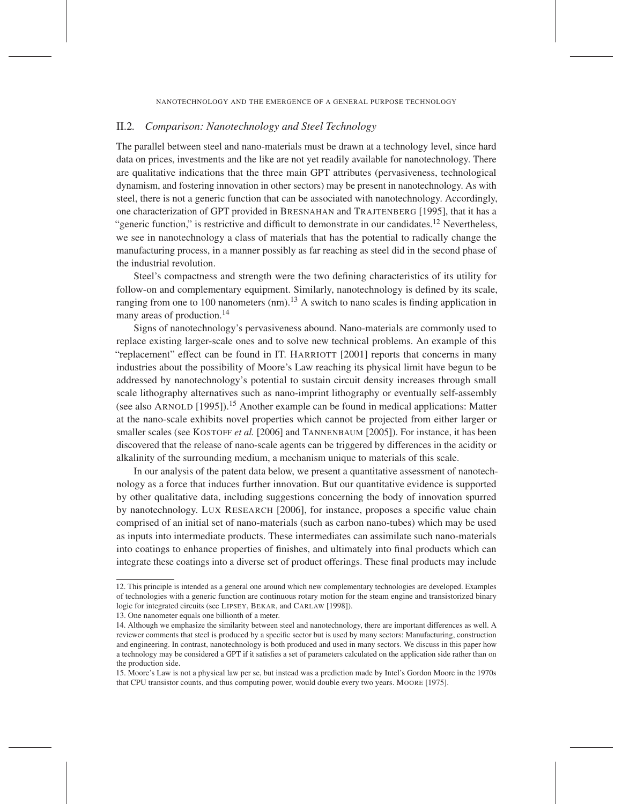## II.2*. Comparison: Nanotechnology and Steel Technology*

The parallel between steel and nano-materials must be drawn at a technology level, since hard data on prices, investments and the like are not yet readily available for nanotechnology. There are qualitative indications that the three main GPT attributes (pervasiveness, technological dynamism, and fostering innovation in other sectors) may be present in nanotechnology. As with steel, there is not a generic function that can be associated with nanotechnology. Accordingly, one characterization of GPT provided in BRESNAHAN and TRAJTENBERG [1995], that it has a "generic function," is restrictive and difficult to demonstrate in our candidates.<sup>12</sup> Nevertheless, we see in nanotechnology a class of materials that has the potential to radically change the manufacturing process, in a manner possibly as far reaching as steel did in the second phase of the industrial revolution.

Steel's compactness and strength were the two defining characteristics of its utility for follow-on and complementary equipment. Similarly, nanotechnology is defined by its scale, ranging from one to 100 nanometers  $(nm)$ .<sup>13</sup> A switch to nano scales is finding application in many areas of production.<sup>14</sup>

Signs of nanotechnology's pervasiveness abound. Nano-materials are commonly used to replace existing larger-scale ones and to solve new technical problems. An example of this "replacement" effect can be found in IT. HARRIOTT [2001] reports that concerns in many industries about the possibility of Moore's Law reaching its physical limit have begun to be addressed by nanotechnology's potential to sustain circuit density increases through small scale lithography alternatives such as nano-imprint lithography or eventually self-assembly (see also ARNOLD [1995]).<sup>15</sup> Another example can be found in medical applications: Matter at the nano-scale exhibits novel properties which cannot be projected from either larger or smaller scales (see KOSTOFF *et al.* [2006] and TANNENBAUM [2005]). For instance, it has been discovered that the release of nano-scale agents can be triggered by differences in the acidity or alkalinity of the surrounding medium, a mechanism unique to materials of this scale.

In our analysis of the patent data below, we present a quantitative assessment of nanotechnology as a force that induces further innovation. But our quantitative evidence is supported by other qualitative data, including suggestions concerning the body of innovation spurred by nanotechnology. LUX RESEARCH [2006], for instance, proposes a specific value chain comprised of an initial set of nano-materials (such as carbon nano-tubes) which may be used as inputs into intermediate products. These intermediates can assimilate such nano-materials into coatings to enhance properties of finishes, and ultimately into final products which can integrate these coatings into a diverse set of product offerings. These final products may include

<sup>12.</sup> This principle is intended as a general one around which new complementary technologies are developed. Examples of technologies with a generic function are continuous rotary motion for the steam engine and transistorized binary logic for integrated circuits (see LIPSEY, BEKAR, and CARLAW [1998]).

<sup>13.</sup> One nanometer equals one billionth of a meter.

<sup>14.</sup> Although we emphasize the similarity between steel and nanotechnology, there are important differences as well. A reviewer comments that steel is produced by a specific sector but is used by many sectors: Manufacturing, construction and engineering. In contrast, nanotechnology is both produced and used in many sectors. We discuss in this paper how a technology may be considered a GPT if it satisfies a set of parameters calculated on the application side rather than on the production side.

<sup>15.</sup> Moore's Law is not a physical law per se, but instead was a prediction made by Intel's Gordon Moore in the 1970s that CPU transistor counts, and thus computing power, would double every two years. MOORE [1975].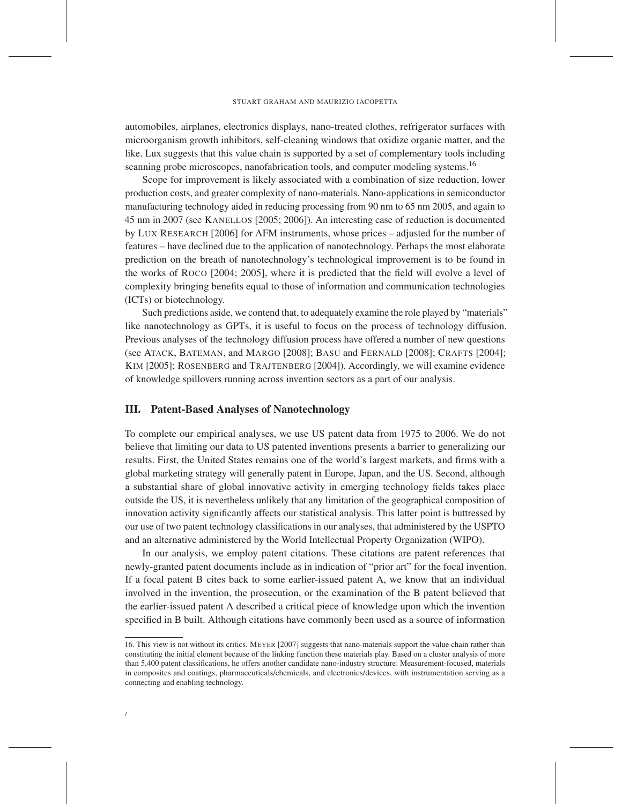automobiles, airplanes, electronics displays, nano-treated clothes, refrigerator surfaces with microorganism growth inhibitors, self-cleaning windows that oxidize organic matter, and the like. Lux suggests that this value chain is supported by a set of complementary tools including scanning probe microscopes, nanofabrication tools, and computer modeling systems.<sup>16</sup>

Scope for improvement is likely associated with a combination of size reduction, lower production costs, and greater complexity of nano-materials. Nano-applications in semiconductor manufacturing technology aided in reducing processing from 90 nm to 65 nm 2005, and again to 45 nm in 2007 (see KANELLOS [2005; 2006]). An interesting case of reduction is documented by LUX RESEARCH [2006] for AFM instruments, whose prices – adjusted for the number of features – have declined due to the application of nanotechnology. Perhaps the most elaborate prediction on the breath of nanotechnology's technological improvement is to be found in the works of ROCO [2004; 2005], where it is predicted that the field will evolve a level of complexity bringing benefits equal to those of information and communication technologies (ICTs) or biotechnology.

Such predictions aside, we contend that, to adequately examine the role played by "materials" like nanotechnology as GPTs, it is useful to focus on the process of technology diffusion. Previous analyses of the technology diffusion process have offered a number of new questions (see ATACK, BATEMAN, and MARGO [2008]; BASU and FERNALD [2008]; CRAFTS [2004]; KIM [2005]; ROSENBERG and TRAJTENBERG [2004]). Accordingly, we will examine evidence of knowledge spillovers running across invention sectors as a part of our analysis.

## III. Patent-Based Analyses of Nanotechnology

To complete our empirical analyses, we use US patent data from 1975 to 2006. We do not believe that limiting our data to US patented inventions presents a barrier to generalizing our results. First, the United States remains one of the world's largest markets, and firms with a global marketing strategy will generally patent in Europe, Japan, and the US. Second, although a substantial share of global innovative activity in emerging technology fields takes place outside the US, it is nevertheless unlikely that any limitation of the geographical composition of innovation activity significantly affects our statistical analysis. This latter point is buttressed by our use of two patent technology classifications in our analyses, that administered by the USPTO and an alternative administered by the World Intellectual Property Organization (WIPO).

In our analysis, we employ patent citations. These citations are patent references that newly-granted patent documents include as in indication of "prior art" for the focal invention. If a focal patent B cites back to some earlier-issued patent A, we know that an individual involved in the invention, the prosecution, or the examination of the B patent believed that the earlier-issued patent A described a critical piece of knowledge upon which the invention specified in B built. Although citations have commonly been used as a source of information

<sup>16.</sup> This view is not without its critics. MEYER [2007] suggests that nano-materials support the value chain rather than constituting the initial element because of the linking function these materials play. Based on a cluster analysis of more than 5,400 patent classifications, he offers another candidate nano-industry structure: Measurement-focused, materials in composites and coatings, pharmaceuticals/chemicals, and electronics/devices, with instrumentation serving as a connecting and enabling technology.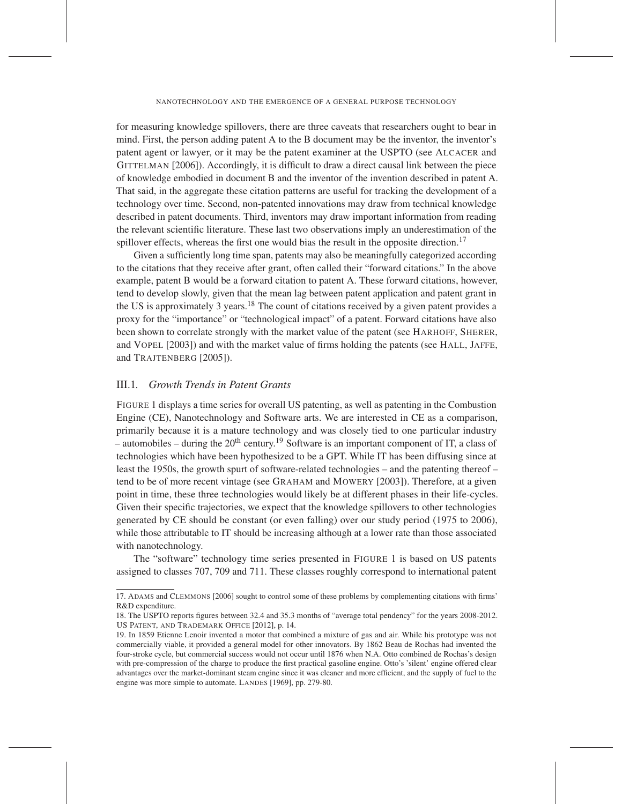for measuring knowledge spillovers, there are three caveats that researchers ought to bear in mind. First, the person adding patent A to the B document may be the inventor, the inventor's patent agent or lawyer, or it may be the patent examiner at the USPTO (see ALCACER and GITTELMAN [2006]). Accordingly, it is difficult to draw a direct causal link between the piece of knowledge embodied in document B and the inventor of the invention described in patent A. That said, in the aggregate these citation patterns are useful for tracking the development of a technology over time. Second, non-patented innovations may draw from technical knowledge described in patent documents. Third, inventors may draw important information from reading the relevant scientific literature. These last two observations imply an underestimation of the spillover effects, whereas the first one would bias the result in the opposite direction.<sup>17</sup>

Given a sufficiently long time span, patents may also be meaningfully categorized according to the citations that they receive after grant, often called their "forward citations." In the above example, patent B would be a forward citation to patent A. These forward citations, however, tend to develop slowly, given that the mean lag between patent application and patent grant in the US is approximately 3 years.<sup>18</sup> The count of citations received by a given patent provides a proxy for the "importance" or "technological impact" of a patent. Forward citations have also been shown to correlate strongly with the market value of the patent (see HARHOFF, SHERER, and VOPEL [2003]) and with the market value of firms holding the patents (see HALL, JAFFE, and TRAJTENBERG [2005]).

## III.1*. Growth Trends in Patent Grants*

FIGURE 1 displays a time series for overall US patenting, as well as patenting in the Combustion Engine (CE), Nanotechnology and Software arts. We are interested in CE as a comparison, primarily because it is a mature technology and was closely tied to one particular industry – automobiles – during the  $20^{th}$  century.<sup>19</sup> Software is an important component of IT, a class of technologies which have been hypothesized to be a GPT. While IT has been diffusing since at least the 1950s, the growth spurt of software-related technologies – and the patenting thereof – tend to be of more recent vintage (see GRAHAM and MOWERY [2003]). Therefore, at a given point in time, these three technologies would likely be at different phases in their life-cycles. Given their specific trajectories, we expect that the knowledge spillovers to other technologies generated by CE should be constant (or even falling) over our study period (1975 to 2006), while those attributable to IT should be increasing although at a lower rate than those associated with nanotechnology.

The "software" technology time series presented in FIGURE 1 is based on US patents assigned to classes 707, 709 and 711. These classes roughly correspond to international patent

<sup>17.</sup> ADAMS and CLEMMONS [2006] sought to control some of these problems by complementing citations with firms' R&D expenditure.

<sup>18.</sup> The USPTO reports figures between 32.4 and 35.3 months of "average total pendency" for the years 2008-2012. US PATENT, AND TRADEMARK OFFICE [2012], p. 14.

<sup>19.</sup> In 1859 Etienne Lenoir invented a motor that combined a mixture of gas and air. While his prototype was not commercially viable, it provided a general model for other innovators. By 1862 Beau de Rochas had invented the four-stroke cycle, but commercial success would not occur until 1876 when N.A. Otto combined de Rochas's design with pre-compression of the charge to produce the first practical gasoline engine. Otto's 'silent' engine offered clear advantages over the market-dominant steam engine since it was cleaner and more efficient, and the supply of fuel to the engine was more simple to automate. LANDES [1969], pp. 279-80.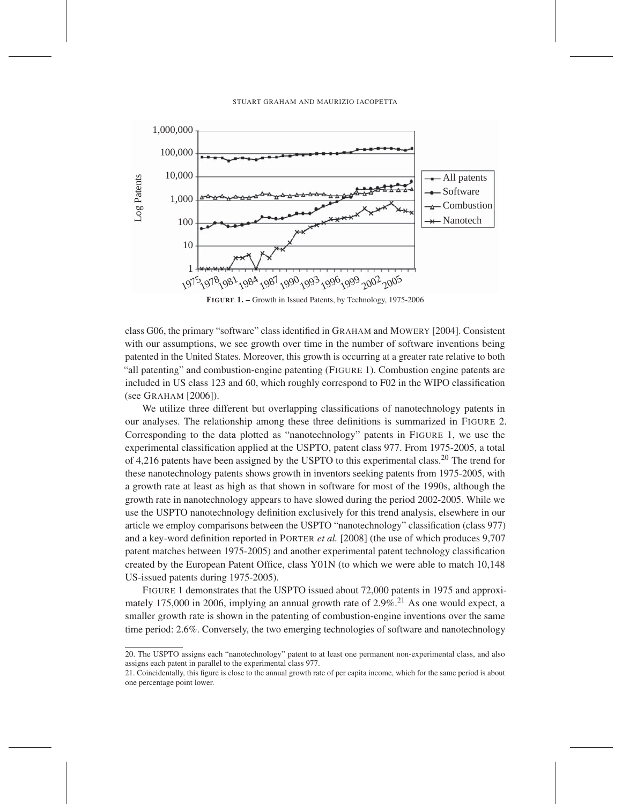

FIGURE 1. – Growth in Issued Patents, by Technology, 1975-2006

class G06, the primary "software" class identified in GRAHAM and MOWERY [2004]. Consistent with our assumptions, we see growth over time in the number of software inventions being patented in the United States. Moreover, this growth is occurring at a greater rate relative to both "all patenting" and combustion-engine patenting (FIGURE 1). Combustion engine patents are included in US class 123 and 60, which roughly correspond to F02 in the WIPO classification (see GRAHAM [2006]).

We utilize three different but overlapping classifications of nanotechnology patents in our analyses. The relationship among these three definitions is summarized in FIGURE 2. Corresponding to the data plotted as "nanotechnology" patents in FIGURE 1, we use the experimental classification applied at the USPTO, patent class 977. From 1975-2005, a total of 4,216 patents have been assigned by the USPTO to this experimental class.20 The trend for these nanotechnology patents shows growth in inventors seeking patents from 1975-2005, with a growth rate at least as high as that shown in software for most of the 1990s, although the growth rate in nanotechnology appears to have slowed during the period 2002-2005. While we use the USPTO nanotechnology definition exclusively for this trend analysis, elsewhere in our article we employ comparisons between the USPTO "nanotechnology" classification (class 977) and a key-word definition reported in PORTER *et al.* [2008] (the use of which produces 9,707 patent matches between 1975-2005) and another experimental patent technology classification created by the European Patent Office, class Y01N (to which we were able to match 10,148 US-issued patents during 1975-2005).

FIGURE 1 demonstrates that the USPTO issued about 72,000 patents in 1975 and approximately 175,000 in 2006, implying an annual growth rate of  $2.9\%$ <sup>21</sup> As one would expect, a smaller growth rate is shown in the patenting of combustion-engine inventions over the same time period: 2.6%. Conversely, the two emerging technologies of software and nanotechnology

<sup>20.</sup> The USPTO assigns each "nanotechnology" patent to at least one permanent non-experimental class, and also assigns each patent in parallel to the experimental class 977.

<sup>21.</sup> Coincidentally, this figure is close to the annual growth rate of per capita income, which for the same period is about one percentage point lower.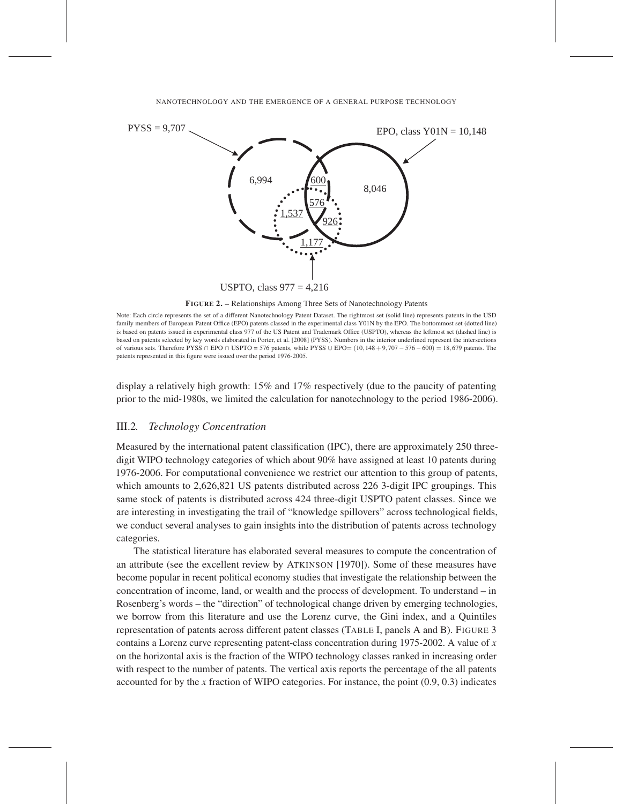

FIGURE 2. – Relationships Among Three Sets of Nanotechnology Patents

Note: Each circle represents the set of a different Nanotechnology Patent Dataset. The rightmost set (solid line) represents patents in the USD family members of European Patent Office (EPO) patents classed in the experimental class Y01N by the EPO. The bottommost set (dotted line) is based on patents issued in experimental class 977 of the US Patent and Trademark Office (USPTO), whereas the leftmost set (dashed line) is based on patents selected by key words elaborated in Porter, et al. [2008] (PYSS). Numbers in the interior underlined represent the intersections of various sets. Therefore PYSS ∩ EPO ∩ USPTO = 576 patents, while PYSS ∪ EPO=  $(10,148 + 9,707 - 576 - 600) = 18,679$  patents. The patents represented in this figure were issued over the period 1976-2005.

display a relatively high growth: 15% and 17% respectively (due to the paucity of patenting prior to the mid-1980s, we limited the calculation for nanotechnology to the period 1986-2006).

# III.2*. Technology Concentration*

Measured by the international patent classification (IPC), there are approximately 250 threedigit WIPO technology categories of which about 90% have assigned at least 10 patents during 1976-2006. For computational convenience we restrict our attention to this group of patents, which amounts to 2,626,821 US patents distributed across 226 3-digit IPC groupings. This same stock of patents is distributed across 424 three-digit USPTO patent classes. Since we are interesting in investigating the trail of "knowledge spillovers" across technological fields, we conduct several analyses to gain insights into the distribution of patents across technology categories.

The statistical literature has elaborated several measures to compute the concentration of an attribute (see the excellent review by ATKINSON [1970]). Some of these measures have become popular in recent political economy studies that investigate the relationship between the concentration of income, land, or wealth and the process of development. To understand – in Rosenberg's words – the "direction" of technological change driven by emerging technologies, we borrow from this literature and use the Lorenz curve, the Gini index, and a Quintiles representation of patents across different patent classes (TABLE I, panels A and B). FIGURE 3 contains a Lorenz curve representing patent-class concentration during 1975-2002. A value of *x* on the horizontal axis is the fraction of the WIPO technology classes ranked in increasing order with respect to the number of patents. The vertical axis reports the percentage of the all patents accounted for by the *x* fraction of WIPO categories. For instance, the point (0.9, 0.3) indicates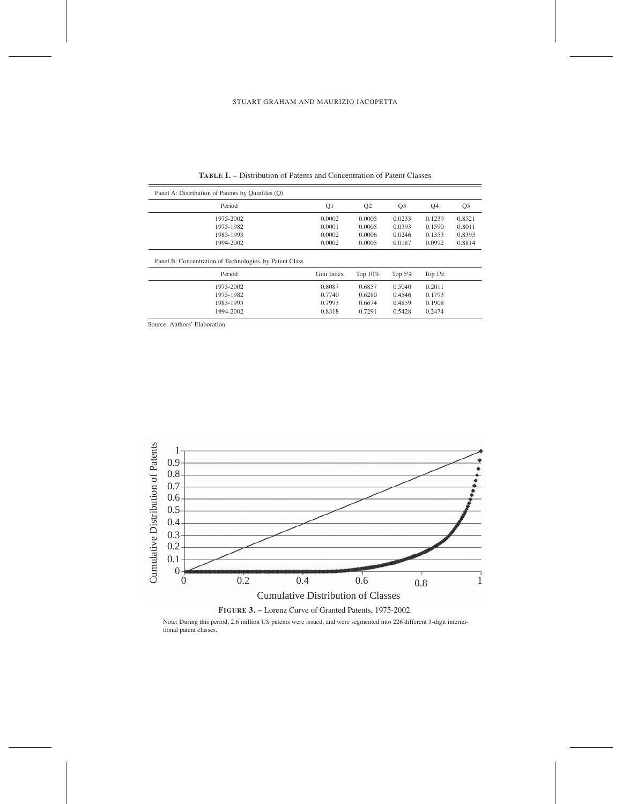| Panel A: Distribution of Patents by Quintiles (Q)       |            |                |                |           |                |
|---------------------------------------------------------|------------|----------------|----------------|-----------|----------------|
| Period                                                  | Q1         | Q <sub>2</sub> | Q <sub>3</sub> | Q4        | Q <sub>5</sub> |
| 1975-2002                                               | 0.0002     | 0.0005         | 0.0233         | 0.1239    | 0.8521         |
| 1975-1982                                               | 0.0001     | 0.0005         | 0.0393         | 0.1590    | 0.8011         |
| 1983-1993                                               | 0.0002     | 0.0006         | 0.0246         | 0.1353    | 0.8393         |
| 1994-2002                                               | 0.0002     | 0.0005         | 0.0187         | 0.0992    | 0.8814         |
| Panel B: Concentration of Technologies, by Patent Class |            |                |                |           |                |
| Period                                                  | Gini Index | Top $10\%$     | Top $5%$       | Top $1\%$ |                |
| 1975-2002                                               | 0.8087     | 0.6857         | 0.5040         | 0.2011    |                |
| 1975-1982                                               | 0.7740     | 0.6280         | 0.4546         | 0.1793    |                |
| 1983-1993                                               | 0.7993     | 0.6674         | 0.4859         | 0.1908    |                |

1975-1982 0.7740 0.6280 0.4546 0.1793 1983-1993 0.7993 0.6674 0.4859 0.1908 1994-2002 0.8318 0.7291 0.5428 0.2474

TABLE I. – Distribution of Patents and Concentration of Patent Classes

Source: Authors' Elaboration



Note: During this period, 2.6 million US patents were issued, and were segmented into 226 different 3-digit international patent classes.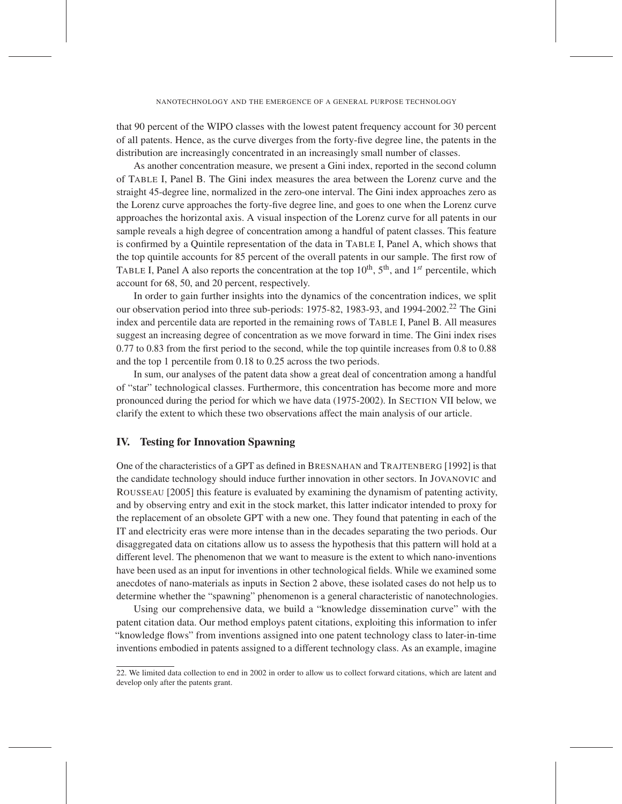that 90 percent of the WIPO classes with the lowest patent frequency account for 30 percent of all patents. Hence, as the curve diverges from the forty-five degree line, the patents in the distribution are increasingly concentrated in an increasingly small number of classes.

As another concentration measure, we present a Gini index, reported in the second column of TABLE I, Panel B. The Gini index measures the area between the Lorenz curve and the straight 45-degree line, normalized in the zero-one interval. The Gini index approaches zero as the Lorenz curve approaches the forty-five degree line, and goes to one when the Lorenz curve approaches the horizontal axis. A visual inspection of the Lorenz curve for all patents in our sample reveals a high degree of concentration among a handful of patent classes. This feature is confirmed by a Quintile representation of the data in TABLE I, Panel A, which shows that the top quintile accounts for 85 percent of the overall patents in our sample. The first row of TABLE I, Panel A also reports the concentration at the top  $10^{th}$ ,  $5^{th}$ , and  $1^{st}$  percentile, which account for 68, 50, and 20 percent, respectively.

In order to gain further insights into the dynamics of the concentration indices, we split our observation period into three sub-periods: 1975-82, 1983-93, and 1994-2002.<sup>22</sup> The Gini index and percentile data are reported in the remaining rows of TABLE I, Panel B. All measures suggest an increasing degree of concentration as we move forward in time. The Gini index rises 0.77 to 0.83 from the first period to the second, while the top quintile increases from 0.8 to 0.88 and the top 1 percentile from 0.18 to 0.25 across the two periods.

In sum, our analyses of the patent data show a great deal of concentration among a handful of "star" technological classes. Furthermore, this concentration has become more and more pronounced during the period for which we have data (1975-2002). In SECTION VII below, we clarify the extent to which these two observations affect the main analysis of our article.

# IV. Testing for Innovation Spawning

One of the characteristics of a GPT as defined in BRESNAHAN and TRAJTENBERG [1992] is that the candidate technology should induce further innovation in other sectors. In JOVANOVIC and ROUSSEAU [2005] this feature is evaluated by examining the dynamism of patenting activity, and by observing entry and exit in the stock market, this latter indicator intended to proxy for the replacement of an obsolete GPT with a new one. They found that patenting in each of the IT and electricity eras were more intense than in the decades separating the two periods. Our disaggregated data on citations allow us to assess the hypothesis that this pattern will hold at a different level. The phenomenon that we want to measure is the extent to which nano-inventions have been used as an input for inventions in other technological fields. While we examined some anecdotes of nano-materials as inputs in Section 2 above, these isolated cases do not help us to determine whether the "spawning" phenomenon is a general characteristic of nanotechnologies.

Using our comprehensive data, we build a "knowledge dissemination curve" with the patent citation data. Our method employs patent citations, exploiting this information to infer "knowledge flows" from inventions assigned into one patent technology class to later-in-time inventions embodied in patents assigned to a different technology class. As an example, imagine

<sup>22.</sup> We limited data collection to end in 2002 in order to allow us to collect forward citations, which are latent and develop only after the patents grant.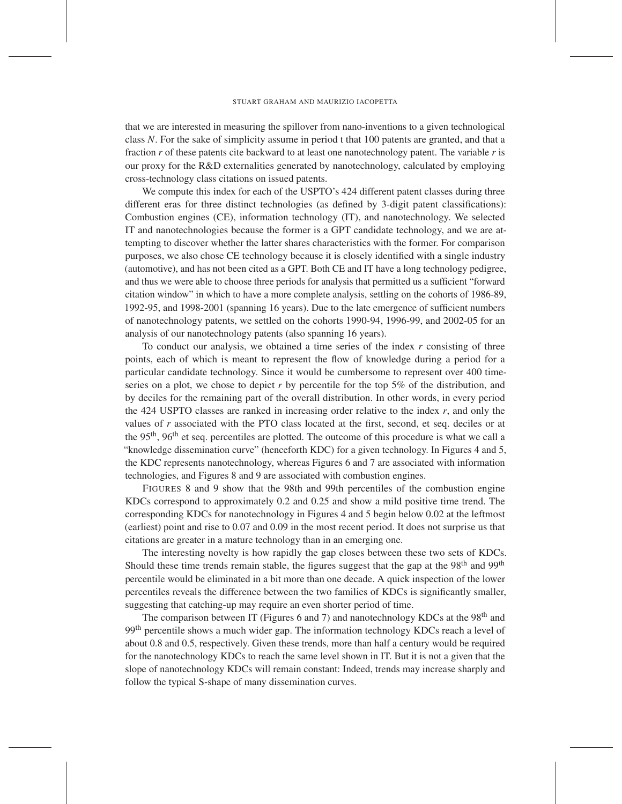that we are interested in measuring the spillover from nano-inventions to a given technological class *N*. For the sake of simplicity assume in period t that 100 patents are granted, and that a fraction *r* of these patents cite backward to at least one nanotechnology patent. The variable *r* is our proxy for the R&D externalities generated by nanotechnology, calculated by employing cross-technology class citations on issued patents.

We compute this index for each of the USPTO's 424 different patent classes during three different eras for three distinct technologies (as defined by 3-digit patent classifications): Combustion engines (CE), information technology (IT), and nanotechnology. We selected IT and nanotechnologies because the former is a GPT candidate technology, and we are attempting to discover whether the latter shares characteristics with the former. For comparison purposes, we also chose CE technology because it is closely identified with a single industry (automotive), and has not been cited as a GPT. Both CE and IT have a long technology pedigree, and thus we were able to choose three periods for analysis that permitted us a sufficient "forward citation window" in which to have a more complete analysis, settling on the cohorts of 1986-89, 1992-95, and 1998-2001 (spanning 16 years). Due to the late emergence of sufficient numbers of nanotechnology patents, we settled on the cohorts 1990-94, 1996-99, and 2002-05 for an analysis of our nanotechnology patents (also spanning 16 years).

To conduct our analysis, we obtained a time series of the index *r* consisting of three points, each of which is meant to represent the flow of knowledge during a period for a particular candidate technology. Since it would be cumbersome to represent over 400 timeseries on a plot, we chose to depict *r* by percentile for the top 5% of the distribution, and by deciles for the remaining part of the overall distribution. In other words, in every period the 424 USPTO classes are ranked in increasing order relative to the index *r*, and only the values of *r* associated with the PTO class located at the first, second, et seq. deciles or at the 95<sup>th</sup>, 96<sup>th</sup> et seq. percentiles are plotted. The outcome of this procedure is what we call a "knowledge dissemination curve" (henceforth KDC) for a given technology. In Figures 4 and 5, the KDC represents nanotechnology, whereas Figures 6 and 7 are associated with information technologies, and Figures 8 and 9 are associated with combustion engines.

FIGURES 8 and 9 show that the 98th and 99th percentiles of the combustion engine KDCs correspond to approximately 0.2 and 0.25 and show a mild positive time trend. The corresponding KDCs for nanotechnology in Figures 4 and 5 begin below 0.02 at the leftmost (earliest) point and rise to 0.07 and 0.09 in the most recent period. It does not surprise us that citations are greater in a mature technology than in an emerging one.

The interesting novelty is how rapidly the gap closes between these two sets of KDCs. Should these time trends remain stable, the figures suggest that the gap at the 98<sup>th</sup> and 99<sup>th</sup> percentile would be eliminated in a bit more than one decade. A quick inspection of the lower percentiles reveals the difference between the two families of KDCs is significantly smaller, suggesting that catching-up may require an even shorter period of time.

The comparison between IT (Figures 6 and 7) and nanotechnology KDCs at the  $98<sup>th</sup>$  and 99<sup>th</sup> percentile shows a much wider gap. The information technology KDCs reach a level of about 0.8 and 0.5, respectively. Given these trends, more than half a century would be required for the nanotechnology KDCs to reach the same level shown in IT. But it is not a given that the slope of nanotechnology KDCs will remain constant: Indeed, trends may increase sharply and follow the typical S-shape of many dissemination curves.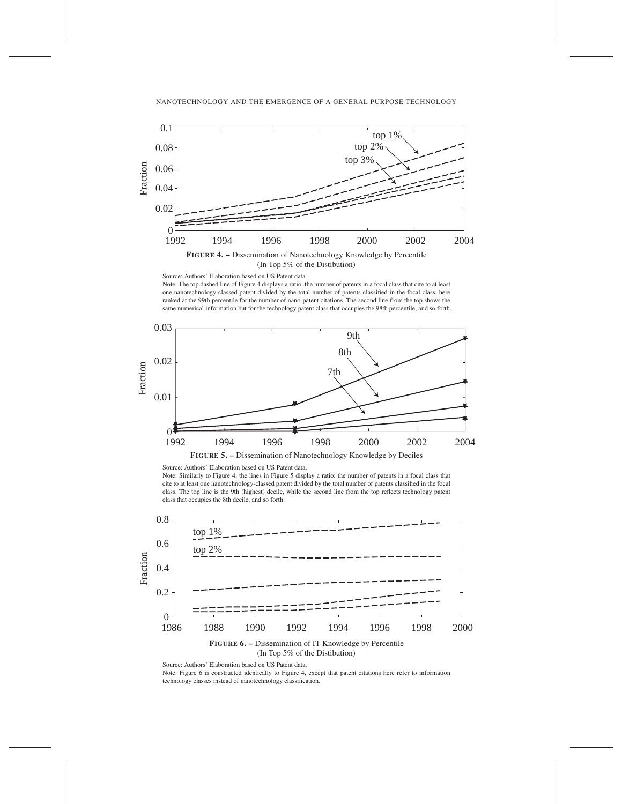



#### Source: Authors' Elaboration based on US Patent data.

Note: The top dashed line of Figure 4 displays a ratio: the number of patents in a focal class that cite to at least one nanotechnology-classed patent divided by the total number of patents classified in the focal class, here ranked at the 99th percentile for the number of nano-patent citations. The second line from the top shows the same numerical information but for the technology patent class that occupies the 98th percentile, and so forth.





Note: Similarly to Figure 4, the lines in Figure 5 display a ratio: the number of patents in a focal class that cite to at least one nanotechnology-classed patent divided by the total number of patents classified in the focal class. The top line is the 9th (highest) decile, while the second line from the top reflects technology patent class that occupies the 8th decile, and so forth.



FIGURE 6. – Dissemination of IT-Knowledge by Percentile (In Top 5% of the Distibution)

Source: Authors' Elaboration based on US Patent data.

Note: Figure 6 is constructed identically to Figure 4, except that patent citations here refer to information technology classes instead of nanotechnology classification.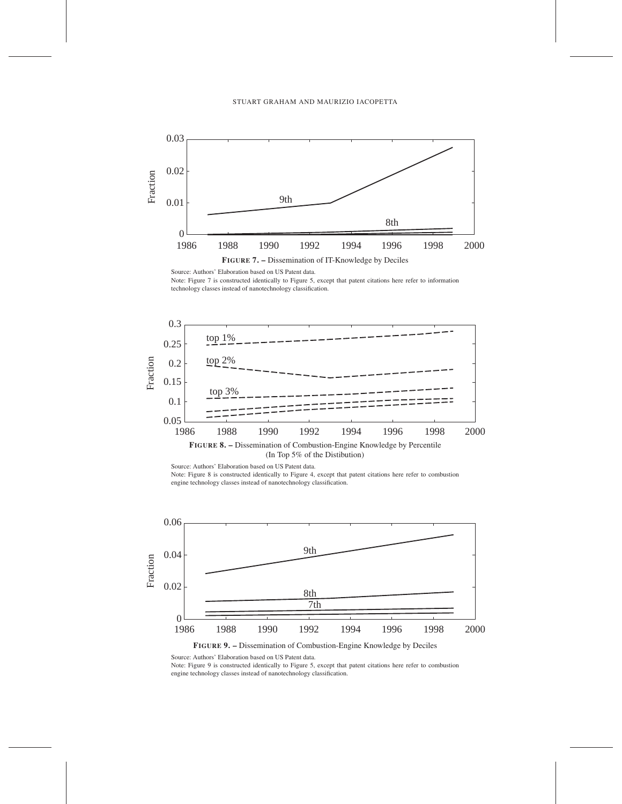

Source: Authors' Elaboration based on US Patent data.

Note: Figure 7 is constructed identically to Figure 5, except that patent citations here refer to information technology classes instead of nanotechnology classification.





Source: Authors' Elaboration based on US Patent data. Note: Figure 8 is constructed identically to Figure 4, except that patent citations here refer to combustion engine technology classes instead of nanotechnology classification.



FIGURE 9. – Dissemination of Combustion-Engine Knowledge by Deciles

Source: Authors' Elaboration based on US Patent data.

Note: Figure 9 is constructed identically to Figure 5, except that patent citations here refer to combustion engine technology classes instead of nanotechnology classification.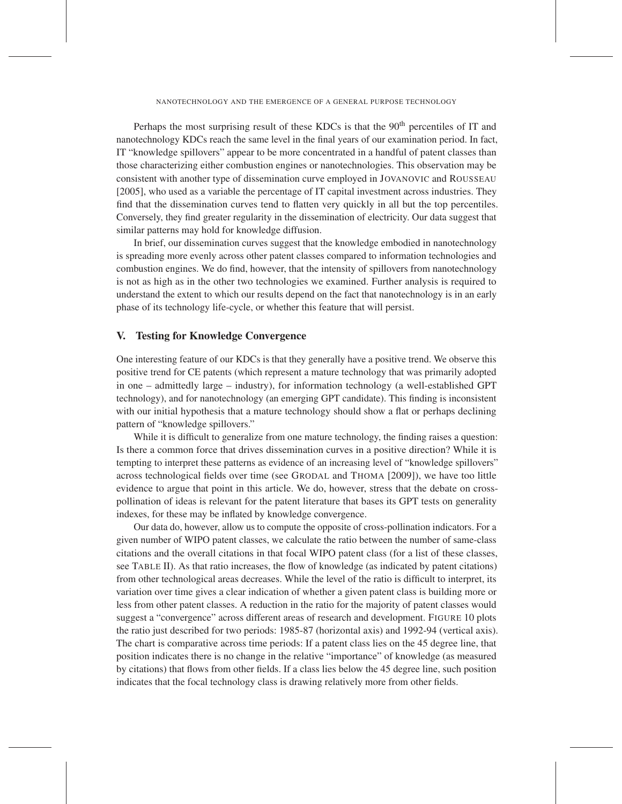Perhaps the most surprising result of these KDCs is that the 90<sup>th</sup> percentiles of IT and nanotechnology KDCs reach the same level in the final years of our examination period. In fact, IT "knowledge spillovers" appear to be more concentrated in a handful of patent classes than those characterizing either combustion engines or nanotechnologies. This observation may be consistent with another type of dissemination curve employed in JOVANOVIC and ROUSSEAU [2005], who used as a variable the percentage of IT capital investment across industries. They find that the dissemination curves tend to flatten very quickly in all but the top percentiles. Conversely, they find greater regularity in the dissemination of electricity. Our data suggest that similar patterns may hold for knowledge diffusion.

In brief, our dissemination curves suggest that the knowledge embodied in nanotechnology is spreading more evenly across other patent classes compared to information technologies and combustion engines. We do find, however, that the intensity of spillovers from nanotechnology is not as high as in the other two technologies we examined. Further analysis is required to understand the extent to which our results depend on the fact that nanotechnology is in an early phase of its technology life-cycle, or whether this feature that will persist.

# V. Testing for Knowledge Convergence

One interesting feature of our KDCs is that they generally have a positive trend. We observe this positive trend for CE patents (which represent a mature technology that was primarily adopted in one – admittedly large – industry), for information technology (a well-established GPT technology), and for nanotechnology (an emerging GPT candidate). This finding is inconsistent with our initial hypothesis that a mature technology should show a flat or perhaps declining pattern of "knowledge spillovers."

While it is difficult to generalize from one mature technology, the finding raises a question: Is there a common force that drives dissemination curves in a positive direction? While it is tempting to interpret these patterns as evidence of an increasing level of "knowledge spillovers" across technological fields over time (see GRODAL and THOMA [2009]), we have too little evidence to argue that point in this article. We do, however, stress that the debate on crosspollination of ideas is relevant for the patent literature that bases its GPT tests on generality indexes, for these may be inflated by knowledge convergence.

Our data do, however, allow us to compute the opposite of cross-pollination indicators. For a given number of WIPO patent classes, we calculate the ratio between the number of same-class citations and the overall citations in that focal WIPO patent class (for a list of these classes, see TABLE II). As that ratio increases, the flow of knowledge (as indicated by patent citations) from other technological areas decreases. While the level of the ratio is difficult to interpret, its variation over time gives a clear indication of whether a given patent class is building more or less from other patent classes. A reduction in the ratio for the majority of patent classes would suggest a "convergence" across different areas of research and development. FIGURE 10 plots the ratio just described for two periods: 1985-87 (horizontal axis) and 1992-94 (vertical axis). The chart is comparative across time periods: If a patent class lies on the 45 degree line, that position indicates there is no change in the relative "importance" of knowledge (as measured by citations) that flows from other fields. If a class lies below the 45 degree line, such position indicates that the focal technology class is drawing relatively more from other fields.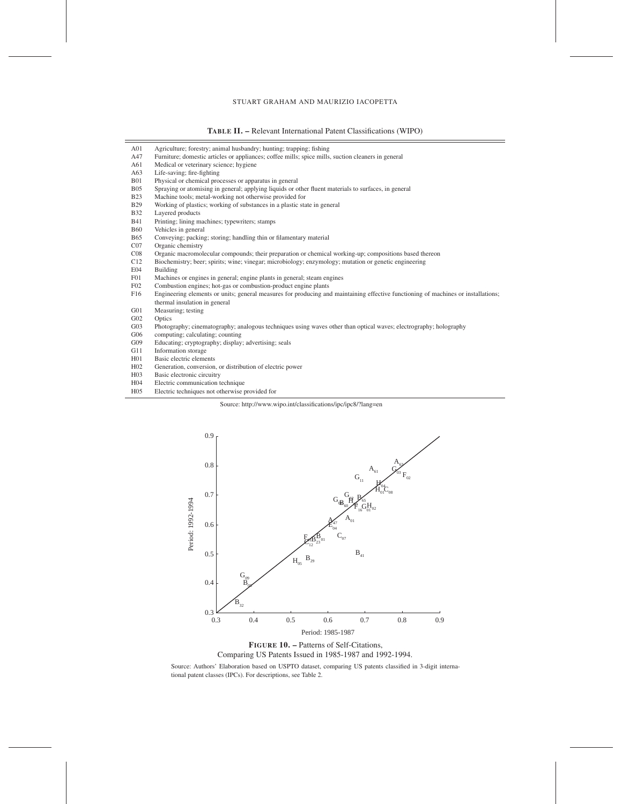TABLE II. – Relevant International Patent Classifications (WIPO)

| A01              | Agriculture; forestry; animal husbandry; hunting; trapping; fishing                                                               |
|------------------|-----------------------------------------------------------------------------------------------------------------------------------|
| A47              | Furniture; domestic articles or appliances; coffee mills; spice mills, suction cleaners in general                                |
| A61              | Medical or veterinary science; hygiene                                                                                            |
| A63              | Life-saving; fire-fighting                                                                                                        |
| <b>B01</b>       | Physical or chemical processes or apparatus in general                                                                            |
| <b>B05</b>       | Spraying or atomising in general; applying liquids or other fluent materials to surfaces, in general                              |
| <b>B23</b>       | Machine tools; metal-working not otherwise provided for                                                                           |
| <b>B29</b>       | Working of plastics; working of substances in a plastic state in general                                                          |
| <b>B32</b>       | Layered products                                                                                                                  |
| <b>B41</b>       | Printing; lining machines; typewriters; stamps                                                                                    |
| <b>B60</b>       | Vehicles in general                                                                                                               |
| <b>B65</b>       | Conveying; packing; storing; handling thin or filamentary material                                                                |
| CO7              | Organic chemistry                                                                                                                 |
| CO8              | Organic macromolecular compounds; their preparation or chemical working-up; compositions based thereon                            |
| C12              | Biochemistry; beer; spirits; wine; vinegar; microbiology; enzymology; mutation or genetic engineering                             |
| E04              | Building                                                                                                                          |
| F01              | Machines or engines in general; engine plants in general; steam engines                                                           |
| F02              | Combustion engines; hot-gas or combustion-product engine plants                                                                   |
| F16              | Engineering elements or units; general measures for producing and maintaining effective functioning of machines or installations; |
|                  | thermal insulation in general                                                                                                     |
| G01              | Measuring; testing                                                                                                                |
| G02              | Optics                                                                                                                            |
| G03              | Photography; cinematography; analogous techniques using waves other than optical waves; electrography; holography                 |
| G06              | computing; calculating; counting                                                                                                  |
| G09              | Educating; cryptography; display; advertising; seals                                                                              |
| G11              | Information storage                                                                                                               |
| H01              | Basic electric elements                                                                                                           |
| H <sub>02</sub>  | Generation, conversion, or distribution of electric power                                                                         |
| H <sub>0</sub> 3 | Basic electronic circuitry                                                                                                        |
| H <sub>04</sub>  | Electric communication technique                                                                                                  |
| H <sub>05</sub>  | Electric techniques not otherwise provided for                                                                                    |
|                  |                                                                                                                                   |

Source: http://www.wipo.int/classifications/ipc/ipc8/?lang=en





Source: Authors' Elaboration based on USPTO dataset, comparing US patents classified in 3-digit interna-tional patent classes (IPCs). For descriptions, see Table 2.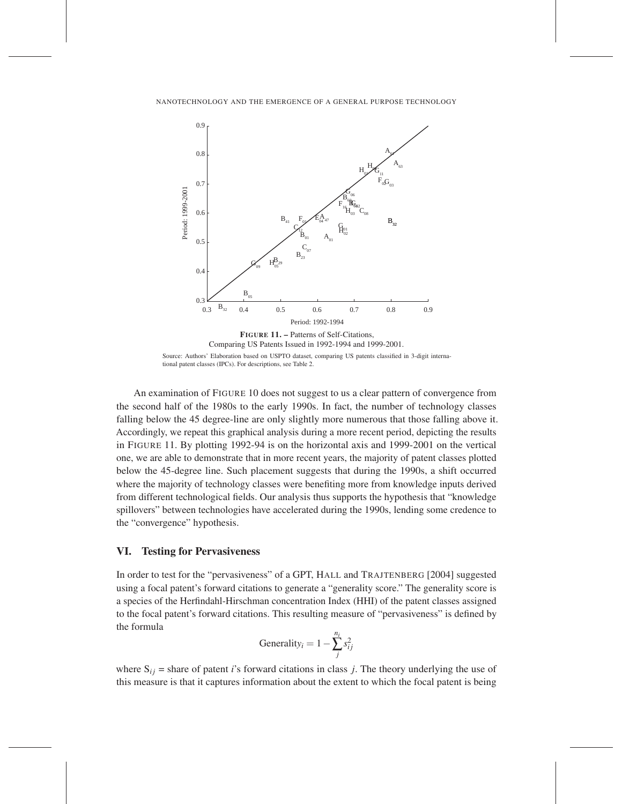

An examination of FIGURE 10 does not suggest to us a clear pattern of convergence from the second half of the 1980s to the early 1990s. In fact, the number of technology classes falling below the 45 degree-line are only slightly more numerous that those falling above it. Accordingly, we repeat this graphical analysis during a more recent period, depicting the results in FIGURE 11. By plotting 1992-94 is on the horizontal axis and 1999-2001 on the vertical one, we are able to demonstrate that in more recent years, the majority of patent classes plotted below the 45-degree line. Such placement suggests that during the 1990s, a shift occurred where the majority of technology classes were benefiting more from knowledge inputs derived from different technological fields. Our analysis thus supports the hypothesis that "knowledge spillovers" between technologies have accelerated during the 1990s, lending some credence to the "convergence" hypothesis.

# VI. Testing for Pervasiveness

In order to test for the "pervasiveness" of a GPT, HALL and TRAJTENBERG [2004] suggested using a focal patent's forward citations to generate a "generality score." The generality score is a species of the Herfindahl-Hirschman concentration Index (HHI) of the patent classes assigned to the focal patent's forward citations. This resulting measure of "pervasiveness" is defined by the formula

$$
Generality_i = 1 - \sum_{j}^{n_i} s_{ij}^2
$$

where  $S_{ij}$  = share of patent *i*'s forward citations in class *j*. The theory underlying the use of this measure is that it captures information about the extent to which the focal patent is being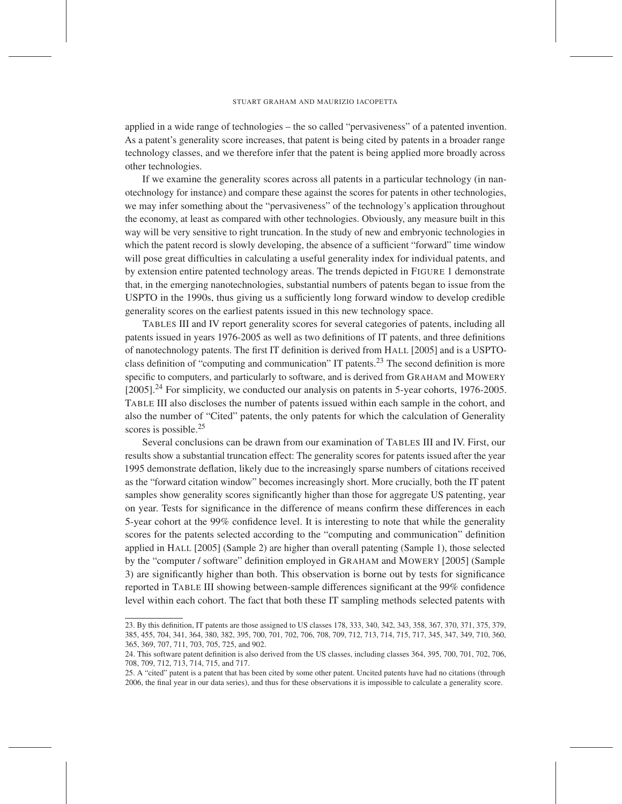applied in a wide range of technologies – the so called "pervasiveness" of a patented invention. As a patent's generality score increases, that patent is being cited by patents in a broader range technology classes, and we therefore infer that the patent is being applied more broadly across other technologies.

If we examine the generality scores across all patents in a particular technology (in nanotechnology for instance) and compare these against the scores for patents in other technologies, we may infer something about the "pervasiveness" of the technology's application throughout the economy, at least as compared with other technologies. Obviously, any measure built in this way will be very sensitive to right truncation. In the study of new and embryonic technologies in which the patent record is slowly developing, the absence of a sufficient "forward" time window will pose great difficulties in calculating a useful generality index for individual patents, and by extension entire patented technology areas. The trends depicted in FIGURE 1 demonstrate that, in the emerging nanotechnologies, substantial numbers of patents began to issue from the USPTO in the 1990s, thus giving us a sufficiently long forward window to develop credible generality scores on the earliest patents issued in this new technology space.

TABLES III and IV report generality scores for several categories of patents, including all patents issued in years 1976-2005 as well as two definitions of IT patents, and three definitions of nanotechnology patents. The first IT definition is derived from HALL [2005] and is a USPTOclass definition of "computing and communication" IT patents.<sup>23</sup> The second definition is more specific to computers, and particularly to software, and is derived from GRAHAM and MOWERY [2005].<sup>24</sup> For simplicity, we conducted our analysis on patents in 5-year cohorts, 1976-2005. TABLE III also discloses the number of patents issued within each sample in the cohort, and also the number of "Cited" patents, the only patents for which the calculation of Generality scores is possible.<sup>25</sup>

Several conclusions can be drawn from our examination of TABLES III and IV. First, our results show a substantial truncation effect: The generality scores for patents issued after the year 1995 demonstrate deflation, likely due to the increasingly sparse numbers of citations received as the "forward citation window" becomes increasingly short. More crucially, both the IT patent samples show generality scores significantly higher than those for aggregate US patenting, year on year. Tests for significance in the difference of means confirm these differences in each 5-year cohort at the 99% confidence level. It is interesting to note that while the generality scores for the patents selected according to the "computing and communication" definition applied in HALL [2005] (Sample 2) are higher than overall patenting (Sample 1), those selected by the "computer / software" definition employed in GRAHAM and MOWERY [2005] (Sample 3) are significantly higher than both. This observation is borne out by tests for significance reported in TABLE III showing between-sample differences significant at the 99% confidence level within each cohort. The fact that both these IT sampling methods selected patents with

<sup>23.</sup> By this definition, IT patents are those assigned to US classes 178, 333, 340, 342, 343, 358, 367, 370, 371, 375, 379, 385, 455, 704, 341, 364, 380, 382, 395, 700, 701, 702, 706, 708, 709, 712, 713, 714, 715, 717, 345, 347, 349, 710, 360, 365, 369, 707, 711, 703, 705, 725, and 902.

<sup>24.</sup> This software patent definition is also derived from the US classes, including classes 364, 395, 700, 701, 702, 706, 708, 709, 712, 713, 714, 715, and 717.

<sup>25.</sup> A "cited" patent is a patent that has been cited by some other patent. Uncited patents have had no citations (through 2006, the final year in our data series), and thus for these observations it is impossible to calculate a generality score.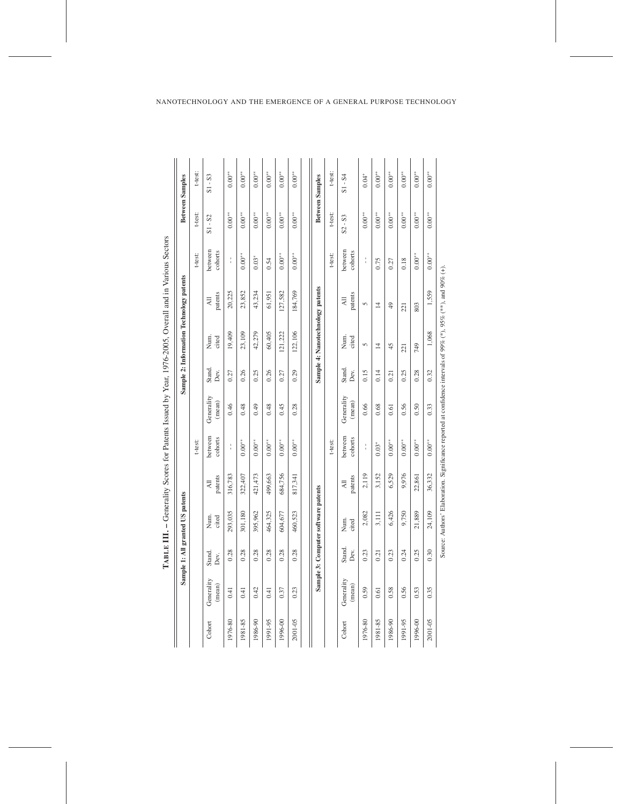| between<br>between<br>cohorts<br>cohorts<br>t-test:<br>t-test:<br>$0.00**$<br>$0.00**$<br>$0.00**$<br>$0.00**$<br>$0.00^{**}$<br>$0.03*$<br>$\frac{1}{1}$<br>Î<br>0.18<br>0.75<br>0.54<br>0.27<br>Sample 4: Nanotechnology patents<br>1,559<br>20,225<br>23,852<br>43,234<br>184,769<br>127,582<br>patents<br>61,951<br>patents<br>$\overline{A}$<br>$\overline{A}$ ll<br>5<br>$\overline{4}$<br>$\frac{1}{2}$<br>803<br>221<br>1,068<br>42,279<br>122,106<br>19,409<br>23,109<br>60,405<br>121,222<br>Num.<br>cited<br>cited<br>Num.<br>5<br>$\overline{1}$<br>45<br>749<br>221<br>Stand.<br>Stand.<br>0.15<br>0.32<br>0.26<br>0.26<br>0.14<br>0.28<br>0.27<br>0.25<br>0.29<br>0.25<br>0.27<br>Dev.<br>Dev.<br>0.21<br>Generality<br>Generality<br>(mean)<br>(mean)<br>0.46<br>0.48<br>0.49<br>0.48<br>0.45<br>0.66<br>0.68<br>0.56<br>0.33<br>0.28<br>0.50<br>0.61<br>between<br>between<br>cohorts<br>cohorts<br>t-test:<br>$0.00^{\ast\ast}$<br>t-test:<br>$0.00^{\ast\ast}$<br>$0.00^{\ast\ast}$<br>$0.00**$<br>$0.00^{\ast\ast}$<br>$0.00**$<br>$0.00**$<br>$0.00^{**}$<br>$0.00^{**}$<br>$0.03*$<br>$\frac{1}{1}$<br>$\frac{1}{1}$<br>36,332<br>421,473<br>499,663<br>2,119<br>3,152<br>9,976<br>316,783<br>322,407<br>684,756<br>6,529<br>817,341<br>22,861<br>patents<br>patents<br>$\Xi$<br>$\overline{\mathsf{A}}$ ll<br>Sample 3: Computer software patents<br>3,111<br>6,426<br>24,109<br>293,035<br>395,962<br>464,325<br>9,750<br>21,889<br>301,180<br>604,677<br>460,523<br>2,082<br>Num.<br>cited<br>Num.<br>cited<br>Stand.<br>0.30<br>0.28<br>0.28<br>0.28<br>0.28<br>0.28<br>0.28<br>0.23<br>0.25<br>0.23<br>0.24<br>Dev.<br>0.21<br>Stand.<br>Dev.<br>Generality<br>Generality<br>(mean)<br>(mean)<br>0.41<br>0.42<br>0.41<br>0.23<br>0.58<br>0.56<br>0.53<br>0.35<br>0.41<br>0.59<br>0.61<br>0.37<br>1991-95<br>2001-05<br>1981-85<br>1991-95<br>1996-00<br>2001-05<br>1976-80<br>1981-85<br>1986-90<br>1996-00<br>1976-80<br>1986-90<br>Cohort<br>Cohort |  | Sample 1: All granted US patents |  |  | Sample 2: Information Technology patents |                   | <b>Between Samples</b> |
|---------------------------------------------------------------------------------------------------------------------------------------------------------------------------------------------------------------------------------------------------------------------------------------------------------------------------------------------------------------------------------------------------------------------------------------------------------------------------------------------------------------------------------------------------------------------------------------------------------------------------------------------------------------------------------------------------------------------------------------------------------------------------------------------------------------------------------------------------------------------------------------------------------------------------------------------------------------------------------------------------------------------------------------------------------------------------------------------------------------------------------------------------------------------------------------------------------------------------------------------------------------------------------------------------------------------------------------------------------------------------------------------------------------------------------------------------------------------------------------------------------------------------------------------------------------------------------------------------------------------------------------------------------------------------------------------------------------------------------------------------------------------------------------------------------------------------------------------------------------------------------------------------------------------------------------------------------------------------------|--|----------------------------------|--|--|------------------------------------------|-------------------|------------------------|
|                                                                                                                                                                                                                                                                                                                                                                                                                                                                                                                                                                                                                                                                                                                                                                                                                                                                                                                                                                                                                                                                                                                                                                                                                                                                                                                                                                                                                                                                                                                                                                                                                                                                                                                                                                                                                                                                                                                                                                                 |  |                                  |  |  |                                          | t-test:           | t-test:                |
|                                                                                                                                                                                                                                                                                                                                                                                                                                                                                                                                                                                                                                                                                                                                                                                                                                                                                                                                                                                                                                                                                                                                                                                                                                                                                                                                                                                                                                                                                                                                                                                                                                                                                                                                                                                                                                                                                                                                                                                 |  |                                  |  |  |                                          | $S1 - S2$         | $S1 - S3$              |
|                                                                                                                                                                                                                                                                                                                                                                                                                                                                                                                                                                                                                                                                                                                                                                                                                                                                                                                                                                                                                                                                                                                                                                                                                                                                                                                                                                                                                                                                                                                                                                                                                                                                                                                                                                                                                                                                                                                                                                                 |  |                                  |  |  |                                          | $0.00**$          | $0.00^{**}$            |
|                                                                                                                                                                                                                                                                                                                                                                                                                                                                                                                                                                                                                                                                                                                                                                                                                                                                                                                                                                                                                                                                                                                                                                                                                                                                                                                                                                                                                                                                                                                                                                                                                                                                                                                                                                                                                                                                                                                                                                                 |  |                                  |  |  |                                          | $0.00^{\ast\ast}$ | $0.00**$               |
|                                                                                                                                                                                                                                                                                                                                                                                                                                                                                                                                                                                                                                                                                                                                                                                                                                                                                                                                                                                                                                                                                                                                                                                                                                                                                                                                                                                                                                                                                                                                                                                                                                                                                                                                                                                                                                                                                                                                                                                 |  |                                  |  |  |                                          | $0.00**$          | $0.00^{**}$            |
|                                                                                                                                                                                                                                                                                                                                                                                                                                                                                                                                                                                                                                                                                                                                                                                                                                                                                                                                                                                                                                                                                                                                                                                                                                                                                                                                                                                                                                                                                                                                                                                                                                                                                                                                                                                                                                                                                                                                                                                 |  |                                  |  |  |                                          | $0.00**$          | $0.00^{**}$            |
|                                                                                                                                                                                                                                                                                                                                                                                                                                                                                                                                                                                                                                                                                                                                                                                                                                                                                                                                                                                                                                                                                                                                                                                                                                                                                                                                                                                                                                                                                                                                                                                                                                                                                                                                                                                                                                                                                                                                                                                 |  |                                  |  |  |                                          | $0.00**$          | $0.00**$               |
|                                                                                                                                                                                                                                                                                                                                                                                                                                                                                                                                                                                                                                                                                                                                                                                                                                                                                                                                                                                                                                                                                                                                                                                                                                                                                                                                                                                                                                                                                                                                                                                                                                                                                                                                                                                                                                                                                                                                                                                 |  |                                  |  |  |                                          | $0.00**$          | $0.00^{**}$            |
|                                                                                                                                                                                                                                                                                                                                                                                                                                                                                                                                                                                                                                                                                                                                                                                                                                                                                                                                                                                                                                                                                                                                                                                                                                                                                                                                                                                                                                                                                                                                                                                                                                                                                                                                                                                                                                                                                                                                                                                 |  |                                  |  |  |                                          |                   | <b>Between Samples</b> |
|                                                                                                                                                                                                                                                                                                                                                                                                                                                                                                                                                                                                                                                                                                                                                                                                                                                                                                                                                                                                                                                                                                                                                                                                                                                                                                                                                                                                                                                                                                                                                                                                                                                                                                                                                                                                                                                                                                                                                                                 |  |                                  |  |  |                                          | t-test:           | t-test:                |
|                                                                                                                                                                                                                                                                                                                                                                                                                                                                                                                                                                                                                                                                                                                                                                                                                                                                                                                                                                                                                                                                                                                                                                                                                                                                                                                                                                                                                                                                                                                                                                                                                                                                                                                                                                                                                                                                                                                                                                                 |  |                                  |  |  |                                          | $S2 - S3$         | $S1 - S4$              |
|                                                                                                                                                                                                                                                                                                                                                                                                                                                                                                                                                                                                                                                                                                                                                                                                                                                                                                                                                                                                                                                                                                                                                                                                                                                                                                                                                                                                                                                                                                                                                                                                                                                                                                                                                                                                                                                                                                                                                                                 |  |                                  |  |  |                                          | $0.00^{\ast\ast}$ | $0.04*$                |
|                                                                                                                                                                                                                                                                                                                                                                                                                                                                                                                                                                                                                                                                                                                                                                                                                                                                                                                                                                                                                                                                                                                                                                                                                                                                                                                                                                                                                                                                                                                                                                                                                                                                                                                                                                                                                                                                                                                                                                                 |  |                                  |  |  |                                          | $0.00**$          | $0.00^{**}$            |
|                                                                                                                                                                                                                                                                                                                                                                                                                                                                                                                                                                                                                                                                                                                                                                                                                                                                                                                                                                                                                                                                                                                                                                                                                                                                                                                                                                                                                                                                                                                                                                                                                                                                                                                                                                                                                                                                                                                                                                                 |  |                                  |  |  |                                          | $0.00^{\ast\ast}$ | $0.00^{**}$            |
|                                                                                                                                                                                                                                                                                                                                                                                                                                                                                                                                                                                                                                                                                                                                                                                                                                                                                                                                                                                                                                                                                                                                                                                                                                                                                                                                                                                                                                                                                                                                                                                                                                                                                                                                                                                                                                                                                                                                                                                 |  |                                  |  |  |                                          | $0.00^{\ast\ast}$ | $0.00**$               |
|                                                                                                                                                                                                                                                                                                                                                                                                                                                                                                                                                                                                                                                                                                                                                                                                                                                                                                                                                                                                                                                                                                                                                                                                                                                                                                                                                                                                                                                                                                                                                                                                                                                                                                                                                                                                                                                                                                                                                                                 |  |                                  |  |  |                                          | $0.00**$          | $0.00^{**}$            |
|                                                                                                                                                                                                                                                                                                                                                                                                                                                                                                                                                                                                                                                                                                                                                                                                                                                                                                                                                                                                                                                                                                                                                                                                                                                                                                                                                                                                                                                                                                                                                                                                                                                                                                                                                                                                                                                                                                                                                                                 |  |                                  |  |  |                                          | $0.00^{\ast\ast}$ | $0.00^{**}$            |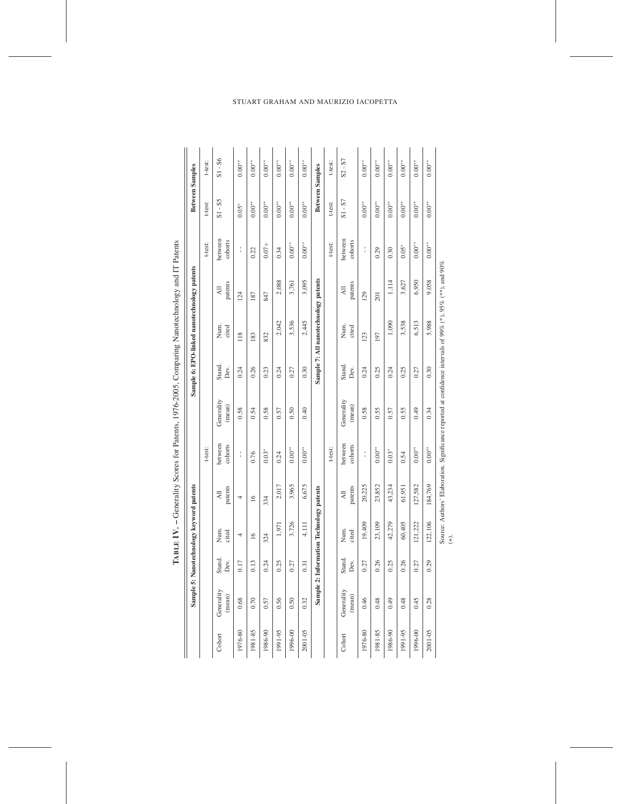|         |                      |                | Sample 5: Nanotechnology keyword patents |                           |                    |                                                                                                           |                | Sample 6: EPO-linked nanotechnology patents |                           |                    |             | <b>Between Samples</b> |
|---------|----------------------|----------------|------------------------------------------|---------------------------|--------------------|-----------------------------------------------------------------------------------------------------------|----------------|---------------------------------------------|---------------------------|--------------------|-------------|------------------------|
|         |                      |                |                                          |                           | t-test:            |                                                                                                           |                |                                             |                           | t-test:            | t-test:     | t-test:                |
| Cohort  | Generality<br>(mean) | Stand.<br>Dev. | Num.<br>cited                            | patents<br>$\overline{A}$ | between<br>cohorts | Generality<br>(mean)                                                                                      | Stand.<br>Dev. | Num.<br>cited                               | patents<br>₹              | between<br>cohorts | $S1 - S5$   | $S1 - S6$              |
| 1976-80 | 0.68                 | 0.17           | 4                                        | 4                         | ţ                  | 0.58                                                                                                      | 0.24           | 118                                         | 124                       | Î                  | $0.05*$     | $0.00**$               |
| 1981-85 | 0.70                 | 0.13           | $\overline{16}$                          | $\overline{16}$           | 0.76               | 0.54                                                                                                      | 0.26           | 183                                         | 187                       | 0.22               | $0.00**$    | $0.00***$              |
| 1986-90 | 0.57                 | 0.24           | 324                                      | 334                       | $0.03*$            | 0.58                                                                                                      | 0.23           | 832                                         | 847                       | $0.07 +$           | $0.00**$    | $0.00**$               |
| 1991-95 | 0.56                 | 0.25           | 1,971                                    | 2,017                     | 0.24               | 0.57                                                                                                      | 0.24           | 2,042                                       | 2,088                     | 0.34               | $0.00^{**}$ | $0.00***$              |
| 1996-00 | 0.50                 | 0.27           | 3,726                                    | 3,965                     | $0.00**$           | 0.50                                                                                                      | 0.27           | 3,536                                       | 3,761                     | $0.00**$           | $0.00^{**}$ | $0.00**$               |
| 2001-05 | 0.32                 | 0.31           | 4,111                                    | 6,675                     | $0.00**$           | 0.40                                                                                                      | 0.30           | 2,445                                       | 3,095                     | $0.00**$           | $0.00^{**}$ | $0.00**$               |
|         |                      |                | Sample 2: Information Technology patents |                           |                    |                                                                                                           |                | Sample 7: All nanotechnology patents        |                           |                    |             | <b>Between Samples</b> |
|         |                      |                |                                          |                           | t-test:            |                                                                                                           |                |                                             |                           | t-test:            | t-test:     | t-test:                |
| Cohort  | Generality<br>(mean) | Stand.<br>Dev. | Num.<br>cited                            | patents<br>$\overline{a}$ | between<br>cohorts | Generality<br>(mean)                                                                                      | Stand.<br>Dev. | Num.<br>cited                               | patents<br>$\overline{a}$ | between<br>cohorts | $S1 - ST$   | $S2 - S7$              |
| 1976-80 | 0.46                 | 0.27           | 19,409                                   | 20,225                    | $\frac{1}{1}$      | 0.58                                                                                                      | 0.24           | 123                                         | 129                       | Î                  | $0.00**$    | $0.00**$               |
| 1981-85 | 0.48                 | 0.26           | 23,109                                   | 23,852                    | $0.00^{**}$        | 0.55                                                                                                      | 0.25           | 197                                         | 201                       | 0.29               | $0.00^{**}$ | $0.00**$               |
| 1986-90 | 0.49                 | 0.25           | 42,279                                   | 43,234                    | $0.03*$            | 0.57                                                                                                      | 0.24           | 1,090                                       | 1,114                     | 0.30               | $0.00^{**}$ | $0.00**$               |
| 1991-95 | 0.48                 | 0.26           | 60,405                                   | 61,951                    | 0.54               | 0.55                                                                                                      | 0.25           | 3,538                                       | 3,627                     | $0.05*$            | $0.00**$    | $0.00**$               |
| 1996-00 | 0.45                 | 0.27           | 121,222                                  | 127,582                   | $0.00**$           | 0.49                                                                                                      | 0.27           | 6,513                                       | 6,950                     | $0.00^{\ast\ast}$  | $0.00^{**}$ | $0.00**$               |
| 2001-05 | 0.28                 | 0.29           | 22,106                                   | 184,769                   | $0.00^{**}$        | 0.34                                                                                                      | 0.30           | 5,988                                       | 9,058                     | $0.00**$           | $0.00**$    | $0.00**$               |
|         |                      |                | $\hat{t}$                                |                           |                    | Source: Authors' Elaboration. Significance reported at confidence intervals of 99% (*), 95% (**), and 90% |                |                                             |                           |                    |             |                        |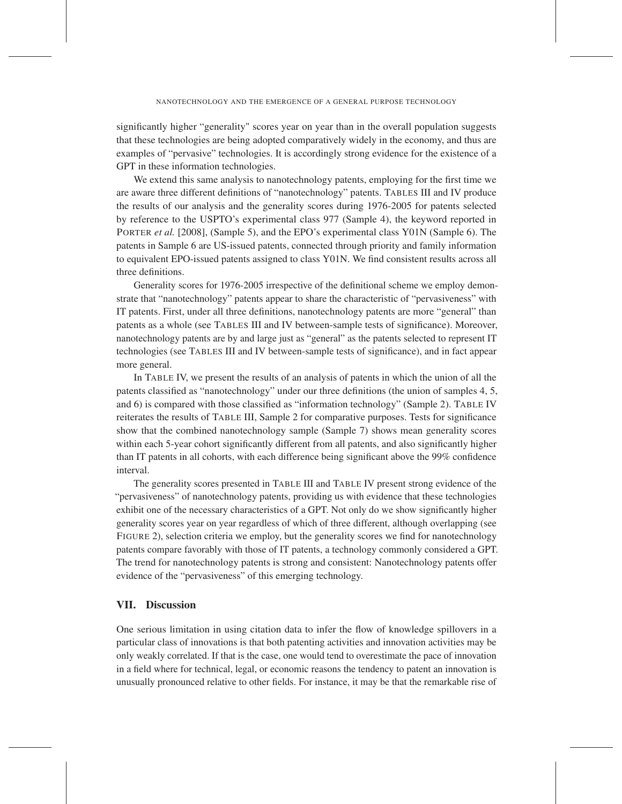significantly higher "generality" scores year on year than in the overall population suggests that these technologies are being adopted comparatively widely in the economy, and thus are examples of "pervasive" technologies. It is accordingly strong evidence for the existence of a GPT in these information technologies.

We extend this same analysis to nanotechnology patents, employing for the first time we are aware three different definitions of "nanotechnology" patents. TABLES III and IV produce the results of our analysis and the generality scores during 1976-2005 for patents selected by reference to the USPTO's experimental class 977 (Sample 4), the keyword reported in PORTER *et al.* [2008], (Sample 5), and the EPO's experimental class Y01N (Sample 6). The patents in Sample 6 are US-issued patents, connected through priority and family information to equivalent EPO-issued patents assigned to class Y01N. We find consistent results across all three definitions.

Generality scores for 1976-2005 irrespective of the definitional scheme we employ demonstrate that "nanotechnology" patents appear to share the characteristic of "pervasiveness" with IT patents. First, under all three definitions, nanotechnology patents are more "general" than patents as a whole (see TABLES III and IV between-sample tests of significance). Moreover, nanotechnology patents are by and large just as "general" as the patents selected to represent IT technologies (see TABLES III and IV between-sample tests of significance), and in fact appear more general.

In TABLE IV, we present the results of an analysis of patents in which the union of all the patents classified as "nanotechnology" under our three definitions (the union of samples 4, 5, and 6) is compared with those classified as "information technology" (Sample 2). TABLE IV reiterates the results of TABLE III, Sample 2 for comparative purposes. Tests for significance show that the combined nanotechnology sample (Sample 7) shows mean generality scores within each 5-year cohort significantly different from all patents, and also significantly higher than IT patents in all cohorts, with each difference being significant above the 99% confidence interval.

The generality scores presented in TABLE III and TABLE IV present strong evidence of the "pervasiveness" of nanotechnology patents, providing us with evidence that these technologies exhibit one of the necessary characteristics of a GPT. Not only do we show significantly higher generality scores year on year regardless of which of three different, although overlapping (see FIGURE 2), selection criteria we employ, but the generality scores we find for nanotechnology patents compare favorably with those of IT patents, a technology commonly considered a GPT. The trend for nanotechnology patents is strong and consistent: Nanotechnology patents offer evidence of the "pervasiveness" of this emerging technology.

# VII. Discussion

One serious limitation in using citation data to infer the flow of knowledge spillovers in a particular class of innovations is that both patenting activities and innovation activities may be only weakly correlated. If that is the case, one would tend to overestimate the pace of innovation in a field where for technical, legal, or economic reasons the tendency to patent an innovation is unusually pronounced relative to other fields. For instance, it may be that the remarkable rise of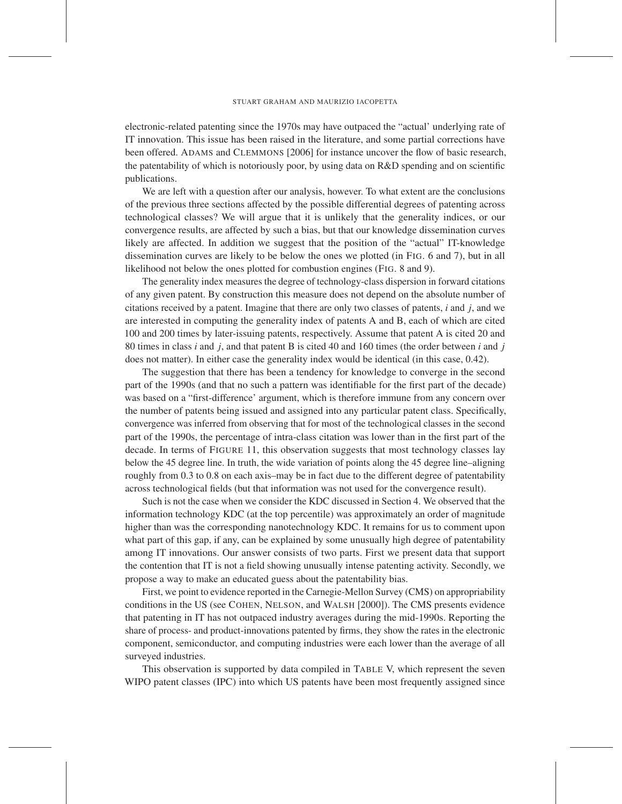electronic-related patenting since the 1970s may have outpaced the "actual' underlying rate of IT innovation. This issue has been raised in the literature, and some partial corrections have been offered. ADAMS and CLEMMONS [2006] for instance uncover the flow of basic research, the patentability of which is notoriously poor, by using data on R&D spending and on scientific publications.

We are left with a question after our analysis, however. To what extent are the conclusions of the previous three sections affected by the possible differential degrees of patenting across technological classes? We will argue that it is unlikely that the generality indices, or our convergence results, are affected by such a bias, but that our knowledge dissemination curves likely are affected. In addition we suggest that the position of the "actual" IT-knowledge dissemination curves are likely to be below the ones we plotted (in FIG. 6 and 7), but in all likelihood not below the ones plotted for combustion engines (FIG. 8 and 9).

The generality index measures the degree of technology-class dispersion in forward citations of any given patent. By construction this measure does not depend on the absolute number of citations received by a patent. Imagine that there are only two classes of patents, *i* and *j*, and we are interested in computing the generality index of patents A and B, each of which are cited 100 and 200 times by later-issuing patents, respectively. Assume that patent A is cited 20 and 80 times in class *i* and *j*, and that patent B is cited 40 and 160 times (the order between *i* and *j* does not matter). In either case the generality index would be identical (in this case, 0.42).

The suggestion that there has been a tendency for knowledge to converge in the second part of the 1990s (and that no such a pattern was identifiable for the first part of the decade) was based on a "first-difference' argument, which is therefore immune from any concern over the number of patents being issued and assigned into any particular patent class. Specifically, convergence was inferred from observing that for most of the technological classes in the second part of the 1990s, the percentage of intra-class citation was lower than in the first part of the decade. In terms of FIGURE 11, this observation suggests that most technology classes lay below the 45 degree line. In truth, the wide variation of points along the 45 degree line–aligning roughly from 0.3 to 0.8 on each axis–may be in fact due to the different degree of patentability across technological fields (but that information was not used for the convergence result).

Such is not the case when we consider the KDC discussed in Section 4. We observed that the information technology KDC (at the top percentile) was approximately an order of magnitude higher than was the corresponding nanotechnology KDC. It remains for us to comment upon what part of this gap, if any, can be explained by some unusually high degree of patentability among IT innovations. Our answer consists of two parts. First we present data that support the contention that IT is not a field showing unusually intense patenting activity. Secondly, we propose a way to make an educated guess about the patentability bias.

First, we point to evidence reported in the Carnegie-Mellon Survey (CMS) on appropriability conditions in the US (see COHEN, NELSON, and WALSH [2000]). The CMS presents evidence that patenting in IT has not outpaced industry averages during the mid-1990s. Reporting the share of process- and product-innovations patented by firms, they show the rates in the electronic component, semiconductor, and computing industries were each lower than the average of all surveyed industries.

This observation is supported by data compiled in TABLE V, which represent the seven WIPO patent classes (IPC) into which US patents have been most frequently assigned since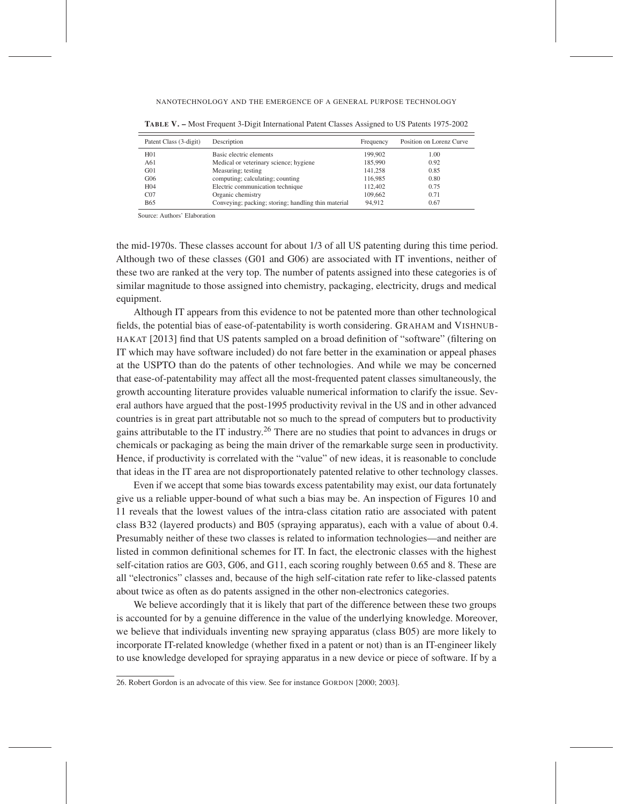| Patent Class (3-digit) | Description                                         | Frequency | Position on Lorenz Curve |
|------------------------|-----------------------------------------------------|-----------|--------------------------|
| H <sub>01</sub>        | Basic electric elements                             | 199.902   | 1.00                     |
| A61                    | Medical or veterinary science; hygiene              | 185,990   | 0.92                     |
| G <sub>01</sub>        | Measuring; testing                                  | 141.258   | 0.85                     |
| G06                    | computing; calculating; counting                    | 116,985   | 0.80                     |
| H <sub>04</sub>        | Electric communication technique                    | 112,402   | 0.75                     |
| CO7                    | Organic chemistry                                   | 109,662   | 0.71                     |
| <b>B65</b>             | Conveying; packing; storing; handling thin material | 94,912    | 0.67                     |

TABLE V. – Most Frequent 3-Digit International Patent Classes Assigned to US Patents 1975-2002

Source: Authors' Elaboration

the mid-1970s. These classes account for about 1/3 of all US patenting during this time period. Although two of these classes (G01 and G06) are associated with IT inventions, neither of these two are ranked at the very top. The number of patents assigned into these categories is of similar magnitude to those assigned into chemistry, packaging, electricity, drugs and medical equipment.

Although IT appears from this evidence to not be patented more than other technological fields, the potential bias of ease-of-patentability is worth considering. GRAHAM and VISHNUB-HAKAT [2013] find that US patents sampled on a broad definition of "software" (filtering on IT which may have software included) do not fare better in the examination or appeal phases at the USPTO than do the patents of other technologies. And while we may be concerned that ease-of-patentability may affect all the most-frequented patent classes simultaneously, the growth accounting literature provides valuable numerical information to clarify the issue. Several authors have argued that the post-1995 productivity revival in the US and in other advanced countries is in great part attributable not so much to the spread of computers but to productivity gains attributable to the IT industry.26 There are no studies that point to advances in drugs or chemicals or packaging as being the main driver of the remarkable surge seen in productivity. Hence, if productivity is correlated with the "value" of new ideas, it is reasonable to conclude that ideas in the IT area are not disproportionately patented relative to other technology classes.

Even if we accept that some bias towards excess patentability may exist, our data fortunately give us a reliable upper-bound of what such a bias may be. An inspection of Figures 10 and 11 reveals that the lowest values of the intra-class citation ratio are associated with patent class B32 (layered products) and B05 (spraying apparatus), each with a value of about 0.4. Presumably neither of these two classes is related to information technologies—and neither are listed in common definitional schemes for IT. In fact, the electronic classes with the highest self-citation ratios are G03, G06, and G11, each scoring roughly between 0.65 and 8. These are all "electronics" classes and, because of the high self-citation rate refer to like-classed patents about twice as often as do patents assigned in the other non-electronics categories.

We believe accordingly that it is likely that part of the difference between these two groups is accounted for by a genuine difference in the value of the underlying knowledge. Moreover, we believe that individuals inventing new spraying apparatus (class B05) are more likely to incorporate IT-related knowledge (whether fixed in a patent or not) than is an IT-engineer likely to use knowledge developed for spraying apparatus in a new device or piece of software. If by a

<sup>26.</sup> Robert Gordon is an advocate of this view. See for instance GORDON [2000; 2003].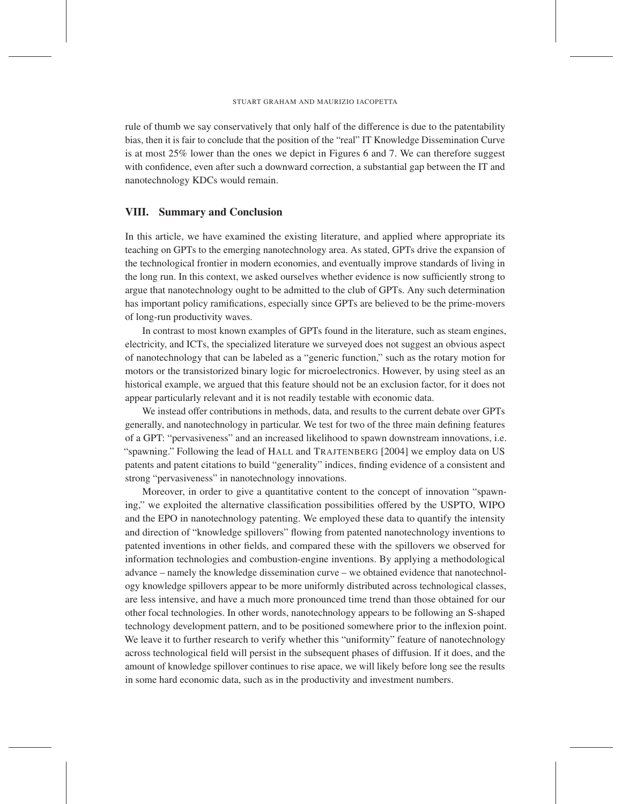rule of thumb we say conservatively that only half of the difference is due to the patentability bias, then it is fair to conclude that the position of the "real" IT Knowledge Dissemination Curve is at most 25% lower than the ones we depict in Figures 6 and 7. We can therefore suggest with confidence, even after such a downward correction, a substantial gap between the IT and nanotechnology KDCs would remain.

# VIII. Summary and Conclusion

In this article, we have examined the existing literature, and applied where appropriate its teaching on GPTs to the emerging nanotechnology area. As stated, GPTs drive the expansion of the technological frontier in modern economies, and eventually improve standards of living in the long run. In this context, we asked ourselves whether evidence is now sufficiently strong to argue that nanotechnology ought to be admitted to the club of GPTs. Any such determination has important policy ramifications, especially since GPTs are believed to be the prime-movers of long-run productivity waves.

In contrast to most known examples of GPTs found in the literature, such as steam engines, electricity, and ICTs, the specialized literature we surveyed does not suggest an obvious aspect of nanotechnology that can be labeled as a "generic function," such as the rotary motion for motors or the transistorized binary logic for microelectronics. However, by using steel as an historical example, we argued that this feature should not be an exclusion factor, for it does not appear particularly relevant and it is not readily testable with economic data.

We instead offer contributions in methods, data, and results to the current debate over GPTs generally, and nanotechnology in particular. We test for two of the three main defining features of a GPT: "pervasiveness" and an increased likelihood to spawn downstream innovations, i.e. "spawning." Following the lead of HALL and TRAJTENBERG [2004] we employ data on US patents and patent citations to build "generality" indices, finding evidence of a consistent and strong "pervasiveness" in nanotechnology innovations.

Moreover, in order to give a quantitative content to the concept of innovation "spawning," we exploited the alternative classification possibilities offered by the USPTO, WIPO and the EPO in nanotechnology patenting. We employed these data to quantify the intensity and direction of "knowledge spillovers" flowing from patented nanotechnology inventions to patented inventions in other fields, and compared these with the spillovers we observed for information technologies and combustion-engine inventions. By applying a methodological advance – namely the knowledge dissemination curve – we obtained evidence that nanotechnology knowledge spillovers appear to be more uniformly distributed across technological classes, are less intensive, and have a much more pronounced time trend than those obtained for our other focal technologies. In other words, nanotechnology appears to be following an S-shaped technology development pattern, and to be positioned somewhere prior to the inflexion point. We leave it to further research to verify whether this "uniformity" feature of nanotechnology across technological field will persist in the subsequent phases of diffusion. If it does, and the amount of knowledge spillover continues to rise apace, we will likely before long see the results in some hard economic data, such as in the productivity and investment numbers.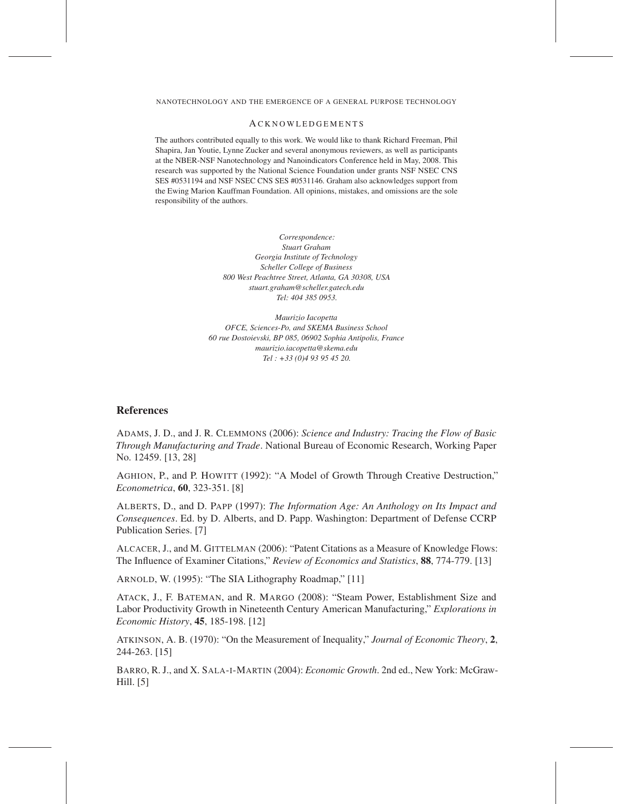#### **ACKNOWLEDGEMENTS**

The authors contributed equally to this work. We would like to thank Richard Freeman, Phil Shapira, Jan Youtie, Lynne Zucker and several anonymous reviewers, as well as participants at the NBER-NSF Nanotechnology and Nanoindicators Conference held in May, 2008. This research was supported by the National Science Foundation under grants NSF NSEC CNS SES #0531194 and NSF NSEC CNS SES #0531146. Graham also acknowledges support from the Ewing Marion Kauffman Foundation. All opinions, mistakes, and omissions are the sole responsibility of the authors.

> *Correspondence: Stuart Graham Georgia Institute of Technology Scheller College of Business 800 West Peachtree Street, Atlanta, GA 30308, USA stuart.graham@scheller.gatech.edu Tel: 404 385 0953.*

*Maurizio Iacopetta OFCE, Sciences-Po, and SKEMA Business School 60 rue Dostoievski, BP 085, 06902 Sophia Antipolis, France maurizio.iacopetta@skema.edu Tel : +33 (0)4 93 95 45 20.*

# References

ADAMS, J. D., and J. R. CLEMMONS (2006): *Science and Industry: Tracing the Flow of Basic Through Manufacturing and Trade*. National Bureau of Economic Research, Working Paper No. 12459. [13, 28]

AGHION, P., and P. HOWITT (1992): "A Model of Growth Through Creative Destruction," *Econometrica*, 60, 323-351. [8]

ALBERTS, D., and D. PAPP (1997): *The Information Age: An Anthology on Its Impact and Consequences*. Ed. by D. Alberts, and D. Papp. Washington: Department of Defense CCRP Publication Series. [7]

ALCACER, J., and M. GITTELMAN (2006): "Patent Citations as a Measure of Knowledge Flows: The Influence of Examiner Citations," *Review of Economics and Statistics*, 88, 774-779. [13]

ARNOLD, W. (1995): "The SIA Lithography Roadmap," [11]

ATACK, J., F. BATEMAN, and R. MARGO (2008): "Steam Power, Establishment Size and Labor Productivity Growth in Nineteenth Century American Manufacturing," *Explorations in Economic History*, 45, 185-198. [12]

ATKINSON, A. B. (1970): "On the Measurement of Inequality," *Journal of Economic Theory*, 2, 244-263. [15]

BARRO, R. J., and X. SALA-I-MARTIN (2004): *Economic Growth*. 2nd ed., New York: McGraw-Hill. [5]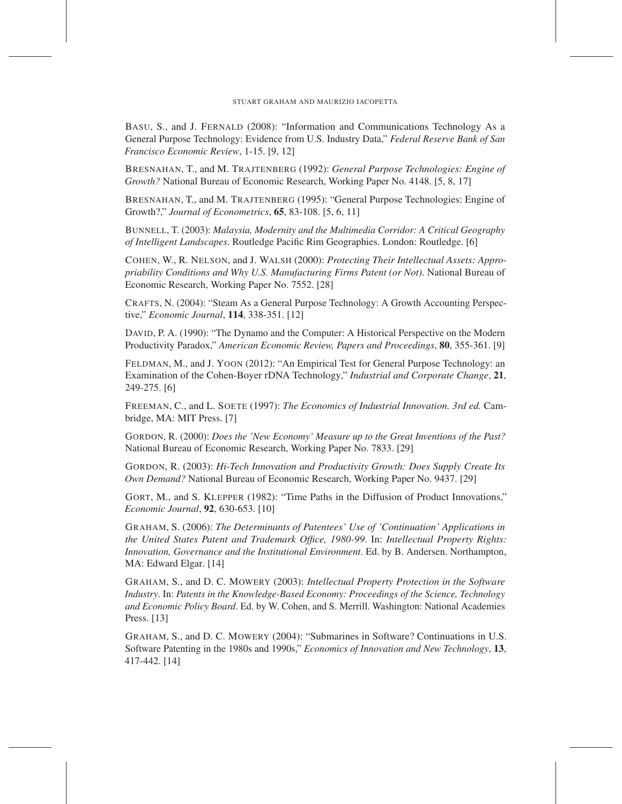BASU, S., and J. FERNALD (2008): "Information and Communications Technology As a General Purpose Technology: Evidence from U.S. Industry Data," *Federal Reserve Bank of San Francisco Economic Review*, 1-15. [9, 12]

BRESNAHAN, T., and M. TRAJTENBERG (1992): *General Purpose Technologies: Engine of Growth?* National Bureau of Economic Research, Working Paper No. 4148. [5, 8, 17]

BRESNAHAN, T., and M. TRAJTENBERG (1995): "General Purpose Technologies: Engine of Growth?," *Journal of Econometrics*, 65, 83-108. [5, 6, 11]

BUNNELL, T. (2003): *Malaysia, Modernity and the Multimedia Corridor: A Critical Geography of Intelligent Landscapes*. Routledge Pacific Rim Geographies. London: Routledge. [6]

COHEN, W., R. NELSON, and J. WALSH (2000): *Protecting Their Intellectual Assets: Appropriability Conditions and Why U.S. Manufacturing Firms Patent (or Not)*. National Bureau of Economic Research, Working Paper No. 7552. [28]

CRAFTS, N. (2004): "Steam As a General Purpose Technology: A Growth Accounting Perspective," *Economic Journal*, 114, 338-351. [12]

DAVID, P. A. (1990): "The Dynamo and the Computer: A Historical Perspective on the Modern Productivity Paradox," *American Economic Review, Papers and Proceedings*, 80, 355-361. [9]

FELDMAN, M., and J. YOON (2012): "An Empirical Test for General Purpose Technology: an Examination of the Cohen-Boyer rDNA Technology," *Industrial and Corporate Change*, 21, 249-275. [6]

FREEMAN, C., and L. SOETE (1997): *The Economics of Industrial Innovation. 3rd ed.* Cambridge, MA: MIT Press. [7]

GORDON, R. (2000): *Does the 'New Economy' Measure up to the Great Inventions of the Past?* National Bureau of Economic Research, Working Paper No. 7833. [29]

GORDON, R. (2003): *Hi-Tech Innovation and Productivity Growth: Does Supply Create Its Own Demand?* National Bureau of Economic Research, Working Paper No. 9437. [29]

GORT, M., and S. KLEPPER (1982): "Time Paths in the Diffusion of Product Innovations," *Economic Journal*, 92, 630-653. [10]

GRAHAM, S. (2006): *The Determinants of Patentees' Use of 'Continuation' Applications in the United States Patent and Trademark Office, 1980-99*. In: *Intellectual Property Rights: Innovation, Governance and the Institutional Environment*. Ed. by B. Andersen. Northampton, MA: Edward Elgar. [14]

GRAHAM, S., and D. C. MOWERY (2003): *Intellectual Property Protection in the Software Industry*. In: *Patents in the Knowledge-Based Economy: Proceedings of the Science, Technology and Economic Policy Board*. Ed. by W. Cohen, and S. Merrill. Washington: National Academies Press. [13]

GRAHAM, S., and D. C. MOWERY (2004): "Submarines in Software? Continuations in U.S. Software Patenting in the 1980s and 1990s," *Economics of Innovation and New Technology*, 13, 417-442. [14]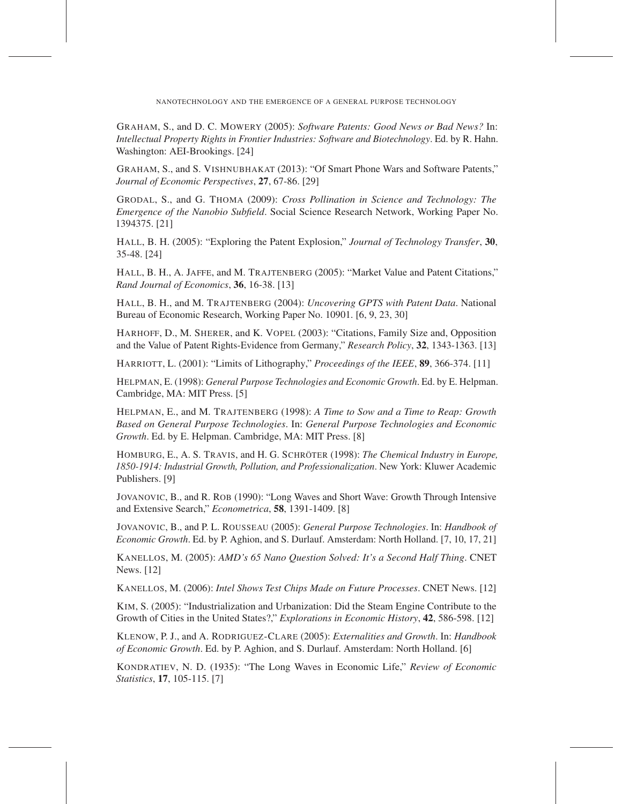GRAHAM, S., and D. C. MOWERY (2005): *Software Patents: Good News or Bad News?* In: *Intellectual Property Rights in Frontier Industries: Software and Biotechnology*. Ed. by R. Hahn. Washington: AEI-Brookings. [24]

GRAHAM, S., and S. VISHNUBHAKAT (2013): "Of Smart Phone Wars and Software Patents," *Journal of Economic Perspectives*, 27, 67-86. [29]

GRODAL, S., and G. THOMA (2009): *Cross Pollination in Science and Technology: The Emergence of the Nanobio Subfield*. Social Science Research Network, Working Paper No. 1394375. [21]

HALL, B. H. (2005): "Exploring the Patent Explosion," *Journal of Technology Transfer*, 30, 35-48. [24]

HALL, B. H., A. JAFFE, and M. TRAJTENBERG (2005): "Market Value and Patent Citations," *Rand Journal of Economics*, 36, 16-38. [13]

HALL, B. H., and M. TRAJTENBERG (2004): *Uncovering GPTS with Patent Data*. National Bureau of Economic Research, Working Paper No. 10901. [6, 9, 23, 30]

HARHOFF, D., M. SHERER, and K. VOPEL (2003): "Citations, Family Size and, Opposition and the Value of Patent Rights-Evidence from Germany," *Research Policy*, 32, 1343-1363. [13]

HARRIOTT, L. (2001): "Limits of Lithography," *Proceedings of the IEEE*, 89, 366-374. [11]

HELPMAN, E. (1998): *General Purpose Technologies and Economic Growth*. Ed. by E. Helpman. Cambridge, MA: MIT Press. [5]

HELPMAN, E., and M. TRAJTENBERG (1998): *A Time to Sow and a Time to Reap: Growth Based on General Purpose Technologies*. In: *General Purpose Technologies and Economic Growth*. Ed. by E. Helpman. Cambridge, MA: MIT Press. [8]

HOMBURG, E., A. S. TRAVIS, and H. G. SCHRÖTER (1998): *The Chemical Industry in Europe, 1850-1914: Industrial Growth, Pollution, and Professionalization*. New York: Kluwer Academic Publishers. [9]

JOVANOVIC, B., and R. ROB (1990): "Long Waves and Short Wave: Growth Through Intensive and Extensive Search," *Econometrica*, 58, 1391-1409. [8]

JOVANOVIC, B., and P. L. ROUSSEAU (2005): *General Purpose Technologies*. In: *Handbook of Economic Growth*. Ed. by P. Aghion, and S. Durlauf. Amsterdam: North Holland. [7, 10, 17, 21]

KANELLOS, M. (2005): *AMD's 65 Nano Question Solved: It's a Second Half Thing*. CNET News. [12]

KANELLOS, M. (2006): *Intel Shows Test Chips Made on Future Processes*. CNET News. [12]

KIM, S. (2005): "Industrialization and Urbanization: Did the Steam Engine Contribute to the Growth of Cities in the United States?," *Explorations in Economic History*, 42, 586-598. [12]

KLENOW, P. J., and A. RODRIGUEZ-CLARE (2005): *Externalities and Growth*. In: *Handbook of Economic Growth*. Ed. by P. Aghion, and S. Durlauf. Amsterdam: North Holland. [6]

KONDRATIEV, N. D. (1935): "The Long Waves in Economic Life," *Review of Economic Statistics*, 17, 105-115. [7]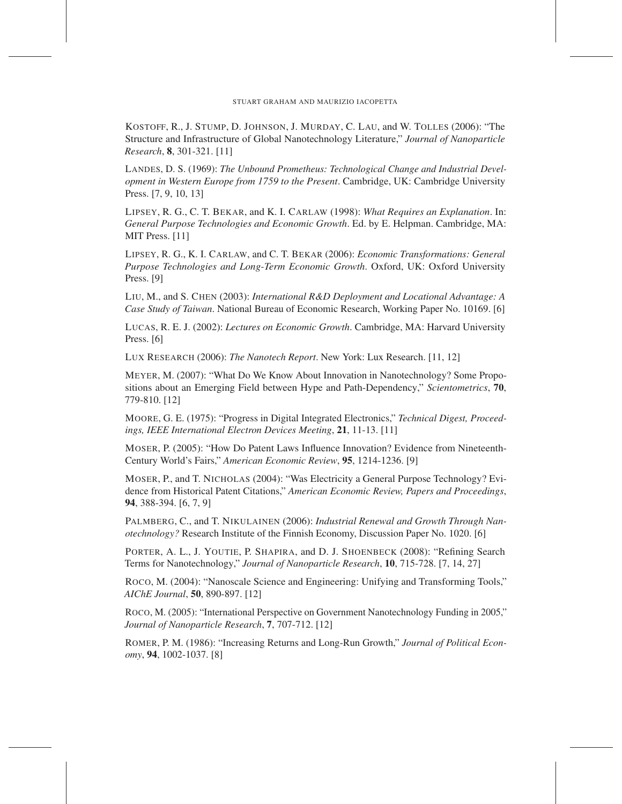KOSTOFF, R., J. STUMP, D. JOHNSON, J. MURDAY, C. LAU, and W. TOLLES (2006): "The Structure and Infrastructure of Global Nanotechnology Literature," *Journal of Nanoparticle Research*, 8, 301-321. [11]

LANDES, D. S. (1969): *The Unbound Prometheus: Technological Change and Industrial Development in Western Europe from 1759 to the Present*. Cambridge, UK: Cambridge University Press. [7, 9, 10, 13]

LIPSEY, R. G., C. T. BEKAR, and K. I. CARLAW (1998): *What Requires an Explanation*. In: *General Purpose Technologies and Economic Growth*. Ed. by E. Helpman. Cambridge, MA: MIT Press. [11]

LIPSEY, R. G., K. I. CARLAW, and C. T. BEKAR (2006): *Economic Transformations: General Purpose Technologies and Long-Term Economic Growth*. Oxford, UK: Oxford University Press. [9]

LIU, M., and S. CHEN (2003): *International R&D Deployment and Locational Advantage: A Case Study of Taiwan*. National Bureau of Economic Research, Working Paper No. 10169. [6]

LUCAS, R. E. J. (2002): *Lectures on Economic Growth*. Cambridge, MA: Harvard University Press. [6]

LUX RESEARCH (2006): *The Nanotech Report*. New York: Lux Research. [11, 12]

MEYER, M. (2007): "What Do We Know About Innovation in Nanotechnology? Some Propositions about an Emerging Field between Hype and Path-Dependency," *Scientometrics*, 70, 779-810. [12]

MOORE, G. E. (1975): "Progress in Digital Integrated Electronics," *Technical Digest, Proceedings, IEEE International Electron Devices Meeting*, 21, 11-13. [11]

MOSER, P. (2005): "How Do Patent Laws Influence Innovation? Evidence from Nineteenth-Century World's Fairs," *American Economic Review*, 95, 1214-1236. [9]

MOSER, P., and T. NICHOLAS (2004): "Was Electricity a General Purpose Technology? Evidence from Historical Patent Citations," *American Economic Review, Papers and Proceedings*, 94, 388-394. [6, 7, 9]

PALMBERG, C., and T. NIKULAINEN (2006): *Industrial Renewal and Growth Through Nanotechnology?* Research Institute of the Finnish Economy, Discussion Paper No. 1020. [6]

PORTER, A. L., J. YOUTIE, P. SHAPIRA, and D. J. SHOENBECK (2008): "Refining Search Terms for Nanotechnology," *Journal of Nanoparticle Research*, 10, 715-728. [7, 14, 27]

ROCO, M. (2004): "Nanoscale Science and Engineering: Unifying and Transforming Tools," *AIChE Journal*, 50, 890-897. [12]

ROCO, M. (2005): "International Perspective on Government Nanotechnology Funding in 2005," *Journal of Nanoparticle Research*, 7, 707-712. [12]

ROMER, P. M. (1986): "Increasing Returns and Long-Run Growth," *Journal of Political Economy*, 94, 1002-1037. [8]